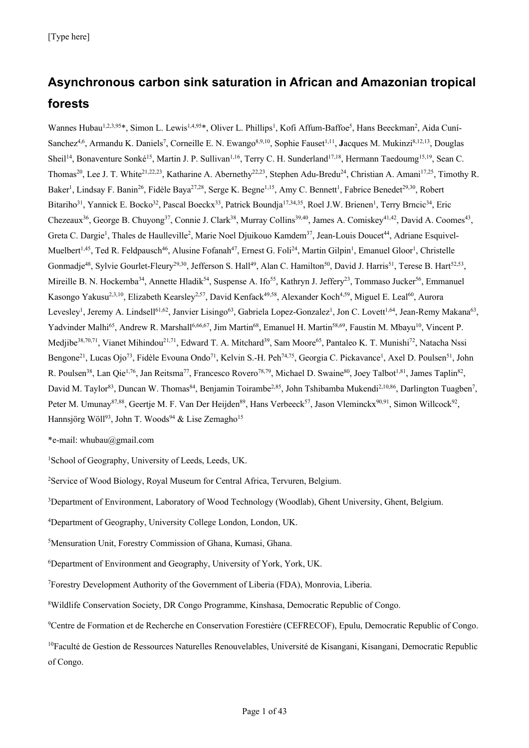# **Asynchronous carbon sink saturation in African and Amazonian tropical forests**

Wannes Hubau<sup>1,2,3,95</sup>\*, Simon L. Lewis<sup>1,4,95</sup>\*, Oliver L. Phillips<sup>1</sup>, Kofi Affum-Baffoe<sup>5</sup>, Hans Beeckman<sup>2</sup>, Aida Cuní-Sanchez<sup>4,6</sup>, Armandu K. Daniels<sup>7</sup>, Corneille E. N. Ewango<sup>8,9,10</sup>, Sophie Fauset<sup>1,11</sup>, **J**acques M. Mukinzi<sup>8,12,13</sup>, Douglas Sheil<sup>14</sup>, Bonaventure Sonké<sup>15</sup>, Martin J. P. Sullivan<sup>1,16</sup>, Terry C. H. Sunderland<sup>17,18</sup>, Hermann Taedoumg<sup>15,19</sup>, Sean C. Thomas<sup>20</sup>, Lee J. T. White<sup>21,22,23</sup>, Katharine A. Abernethy<sup>22,23</sup>, Stephen Adu-Bredu<sup>24</sup>, Christian A. Amani<sup>17,25</sup>, Timothy R. Baker<sup>1</sup>, Lindsay F. Banin<sup>26</sup>, Fidèle Baya<sup>27,28</sup>, Serge K. Begne<sup>1,15</sup>, Amy C. Bennett<sup>1</sup>, Fabrice Benedet<sup>29,30</sup>, Robert Bitariho<sup>31</sup>, Yannick E. Bocko<sup>32</sup>, Pascal Boeckx<sup>33</sup>, Patrick Boundja<sup>17,34,35</sup>, Roel J.W. Brienen<sup>1</sup>, Terry Brncic<sup>34</sup>, Eric Chezeaux<sup>36</sup>, George B. Chuyong<sup>37</sup>, Connie J. Clark<sup>38</sup>, Murray Collins<sup>39,40</sup>, James A. Comiskey<sup>41,42</sup>, David A. Coomes<sup>43</sup>, Greta C. Dargie<sup>1</sup>, Thales de Haulleville<sup>2</sup>, Marie Noel Djuikouo Kamdem<sup>37</sup>, Jean-Louis Doucet<sup>44</sup>, Adriane Esquivel-Muelbert<sup>1,45</sup>, Ted R. Feldpausch<sup>46</sup>, Alusine Fofanah<sup>47</sup>, Ernest G. Foli<sup>24</sup>, Martin Gilpin<sup>1</sup>, Emanuel Gloor<sup>1</sup>, Christelle Gonmadje<sup>48</sup>, Sylvie Gourlet-Fleury<sup>29,30</sup>, Jefferson S. Hall<sup>49</sup>, Alan C. Hamilton<sup>50</sup>, David J. Harris<sup>51</sup>, Terese B. Hart<sup>52,53</sup>, Mireille B. N. Hockemba<sup>34</sup>, Annette Hladik<sup>54</sup>, Suspense A. Ifo<sup>55</sup>, Kathryn J. Jeffery<sup>23</sup>, Tommaso Jucker<sup>56</sup>, Emmanuel Kasongo Yakusu<sup>2,3,10</sup>, Elizabeth Kearsley<sup>2,57</sup>, David Kenfack<sup>49,58</sup>, Alexander Koch<sup>4,59</sup>, Miguel E. Leal<sup>60</sup>, Aurora Levesley<sup>1</sup>, Jeremy A. Lindsell<sup>61,62</sup>, Janvier Lisingo<sup>63</sup>, Gabriela Lopez-Gonzalez<sup>1</sup>, Jon C. Lovett<sup>1,64</sup>, Jean-Remy Makana<sup>63</sup>, Yadvinder Malhi<sup>65</sup>, Andrew R. Marshall<sup>6,66,67</sup>, Jim Martin<sup>68</sup>, Emanuel H. Martin<sup>58,69</sup>, Faustin M. Mbayu<sup>10</sup>, Vincent P. Medjibe<sup>38,70,71</sup>, Vianet Mihindou<sup>21,71</sup>, Edward T. A. Mitchard<sup>39</sup>, Sam Moore<sup>65</sup>, Pantaleo K. T. Munishi<sup>72</sup>, Natacha Nssi Bengone<sup>21</sup>, Lucas Ojo<sup>73</sup>, Fidèle Evouna Ondo<sup>71</sup>, Kelvin S.-H. Peh<sup>74,75</sup>, Georgia C. Pickavance<sup>1</sup>, Axel D. Poulsen<sup>51</sup>, John R. Poulsen<sup>38</sup>, Lan Qie<sup>1,76</sup>, Jan Reitsma<sup>77</sup>, Francesco Rovero<sup>78,79</sup>, Michael D. Swaine<sup>80</sup>, Joey Talbot<sup>1,81</sup>, James Taplin<sup>82</sup>, David M. Taylor<sup>83</sup>, Duncan W. Thomas<sup>84</sup>, Benjamin Toirambe<sup>2,85</sup>, John Tshibamba Mukendi<sup>2,10,86</sup>, Darlington Tuagben<sup>7</sup>, Peter M. Umunay<sup>87,88</sup>, Geertje M. F. Van Der Heijden<sup>89</sup>, Hans Verbeeck<sup>57</sup>, Jason Vleminckx<sup>90,91</sup>, Simon Willcock<sup>92</sup>, Hannsjörg Wöll<sup>93</sup>, John T. Woods<sup>94</sup> & Lise Zemagho<sup>15</sup>

\*e-mail: whubau@gmail.com

<sup>1</sup>School of Geography, University of Leeds, Leeds, UK.

<sup>2</sup>Service of Wood Biology, Royal Museum for Central Africa, Tervuren, Belgium.

<sup>3</sup>Department of Environment, Laboratory of Wood Technology (Woodlab), Ghent University, Ghent, Belgium.

4 Department of Geography, University College London, London, UK.

5 Mensuration Unit, Forestry Commission of Ghana, Kumasi, Ghana.

6 Department of Environment and Geography, University of York, York, UK.

7 Forestry Development Authority of the Government of Liberia (FDA), Monrovia, Liberia.

8 Wildlife Conservation Society, DR Congo Programme, Kinshasa, Democratic Republic of Congo.

<sup>9</sup>Centre de Formation et de Recherche en Conservation Forestière (CEFRECOF), Epulu, Democratic Republic of Congo.

<sup>10</sup>Faculté de Gestion de Ressources Naturelles Renouvelables, Université de Kisangani, Kisangani, Democratic Republic of Congo.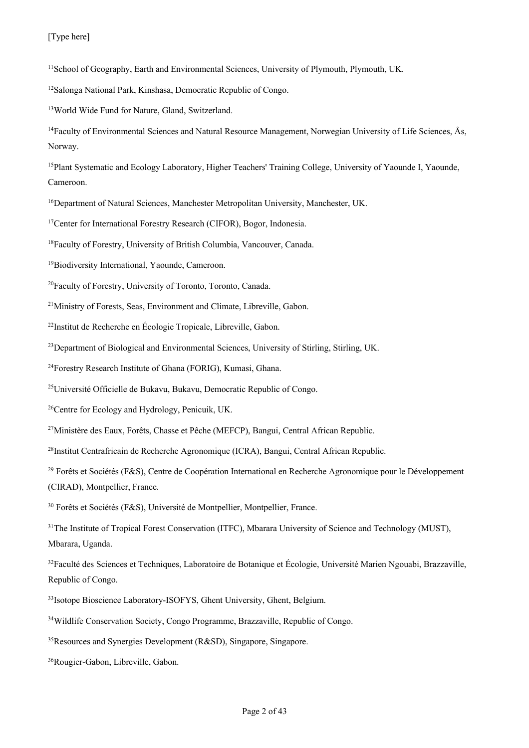<sup>11</sup>School of Geography, Earth and Environmental Sciences, University of Plymouth, Plymouth, UK.

12Salonga National Park, Kinshasa, Democratic Republic of Congo.

13World Wide Fund for Nature, Gland, Switzerland.

<sup>14</sup>Faculty of Environmental Sciences and Natural Resource Management, Norwegian University of Life Sciences, Ås, Norway.

<sup>15</sup>Plant Systematic and Ecology Laboratory, Higher Teachers' Training College, University of Yaounde I, Yaounde, Cameroon.

<sup>16</sup>Department of Natural Sciences, Manchester Metropolitan University, Manchester, UK.

<sup>17</sup>Center for International Forestry Research (CIFOR), Bogor, Indonesia.

<sup>18</sup> Faculty of Forestry, University of British Columbia, Vancouver, Canada.

19Biodiversity International, Yaounde, Cameroon.

<sup>20</sup>Faculty of Forestry, University of Toronto, Toronto, Canada.

<sup>21</sup>Ministry of Forests, Seas, Environment and Climate, Libreville, Gabon.

<sup>22</sup>Institut de Recherche en Écologie Tropicale, Libreville, Gabon.

<sup>23</sup>Department of Biological and Environmental Sciences, University of Stirling, Stirling, UK.

<sup>24</sup>Forestry Research Institute of Ghana (FORIG), Kumasi, Ghana.

<sup>25</sup>Université Officielle de Bukavu, Bukavu, Democratic Republic of Congo.

<sup>26</sup>Centre for Ecology and Hydrology, Penicuik, UK.

<sup>27</sup>Ministère des Eaux, Forêts, Chasse et Pêche (MEFCP), Bangui, Central African Republic.

<sup>28</sup>Institut Centrafricain de Recherche Agronomique (ICRA), Bangui, Central African Republic.

<sup>29</sup> Forêts et Sociétés (F&S), Centre de Coopération International en Recherche Agronomique pour le Développement (CIRAD), Montpellier, France.

<sup>30</sup> Forêts et Sociétés (F&S), Université de Montpellier, Montpellier, France.

<sup>31</sup>The Institute of Tropical Forest Conservation (ITFC), Mbarara University of Science and Technology (MUST), Mbarara, Uganda.

 $32$ Faculté des Sciences et Techniques, Laboratoire de Botanique et Écologie, Université Marien Ngouabi, Brazzaville, Republic of Congo.

<sup>33</sup>Isotope Bioscience Laboratory-ISOFYS, Ghent University, Ghent, Belgium.

34Wildlife Conservation Society, Congo Programme, Brazzaville, Republic of Congo.

35Resources and Synergies Development (R&SD), Singapore, Singapore.

36Rougier-Gabon, Libreville, Gabon.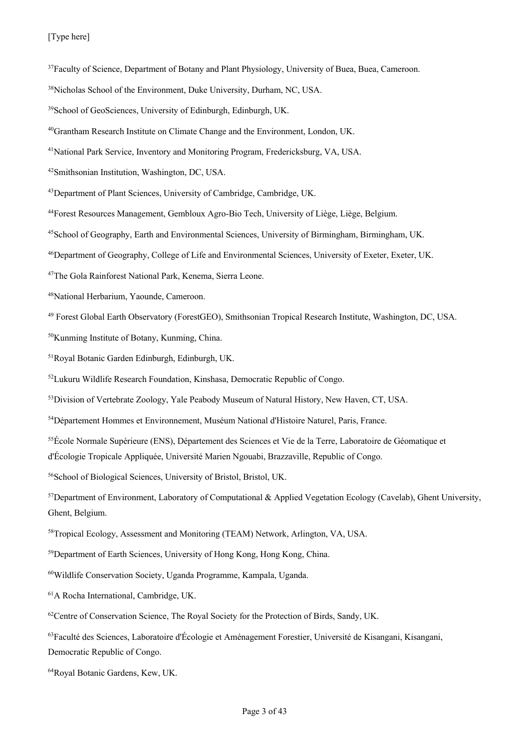#### [Type here]

<sup>37</sup>Faculty of Science, Department of Botany and Plant Physiology, University of Buea, Buea, Cameroon.

- 44Forest Resources Management, Gembloux Agro-Bio Tech, University of Liège, Liège, Belgium.
- 45School of Geography, Earth and Environmental Sciences, University of Birmingham, Birmingham, UK.
- 46Department of Geography, College of Life and Environmental Sciences, University of Exeter, Exeter, UK.
- 47The Gola Rainforest National Park, Kenema, Sierra Leone.
- 48National Herbarium, Yaounde, Cameroon.
- <sup>49</sup> Forest Global Earth Observatory (ForestGEO), Smithsonian Tropical Research Institute, Washington, DC, USA.
- 50Kunming Institute of Botany, Kunming, China.
- 51Royal Botanic Garden Edinburgh, Edinburgh, UK.
- 52Lukuru Wildlife Research Foundation, Kinshasa, Democratic Republic of Congo.
- <sup>53</sup>Division of Vertebrate Zoology, Yale Peabody Museum of Natural History, New Haven, CT, USA.
- 54Département Hommes et Environnement, Muséum National d'Histoire Naturel, Paris, France.
- 55École Normale Supérieure (ENS), Département des Sciences et Vie de la Terre, Laboratoire de Géomatique et d'Écologie Tropicale Appliquée, Université Marien Ngouabi, Brazzaville, Republic of Congo.
- 56School of Biological Sciences, University of Bristol, Bristol, UK.
- 57Department of Environment, Laboratory of Computational & Applied Vegetation Ecology (Cavelab), Ghent University, Ghent, Belgium.
- 58Tropical Ecology, Assessment and Monitoring (TEAM) Network, Arlington, VA, USA.
- 59 Department of Earth Sciences, University of Hong Kong, Hong Kong, China.
- 60Wildlife Conservation Society, Uganda Programme, Kampala, Uganda.
- 61A Rocha International, Cambridge, UK.
- <sup>62</sup>Centre of Conservation Science, The Royal Society for the Protection of Birds, Sandy, UK.
- 63Faculté des Sciences, Laboratoire d'Écologie et Aménagement Forestier, Université de Kisangani, Kisangani, Democratic Republic of Congo.

<sup>38</sup>Nicholas School of the Environment, Duke University, Durham, NC, USA.

<sup>39</sup>School of GeoSciences, University of Edinburgh, Edinburgh, UK.

<sup>40</sup>Grantham Research Institute on Climate Change and the Environment, London, UK.

<sup>41</sup>National Park Service, Inventory and Monitoring Program, Fredericksburg, VA, USA.

<sup>42</sup>Smithsonian Institution, Washington, DC, USA.

<sup>43</sup>Department of Plant Sciences, University of Cambridge, Cambridge, UK.

<sup>64</sup>Royal Botanic Gardens, Kew, UK.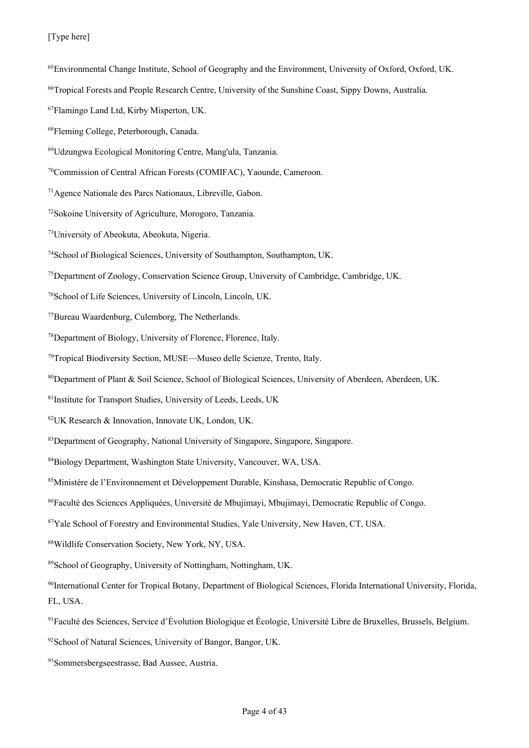#### [Type here]

- 65Environmental Change Institute, School of Geography and the Environment, University of Oxford, Oxford, UK.
- 66Tropical Forests and People Research Centre, University of the Sunshine Coast, Sippy Downs, Australia.
- 67Flamingo Land Ltd, Kirby Misperton, UK.
- 68Fleming College, Peterborough, Canada.
- 69Udzungwa Ecological Monitoring Centre, Mang'ula, Tanzania.
- 70Commission of Central African Forests (COMIFAC), Yaounde, Cameroon.
- 71Agence Nationale des Parcs Nationaux, Libreville, Gabon.
- 72Sokoine University of Agriculture, Morogoro, Tanzania.
- 73University of Abeokuta, Abeokuta, Nigeria.
- 74School of Biological Sciences, University of Southampton, Southampton, UK.
- 75Department of Zoology, Conservation Science Group, University of Cambridge, Cambridge, UK.
- 76School of Life Sciences, University of Lincoln, Lincoln, UK.
- 77Bureau Waardenburg, Culemborg, The Netherlands.
- 78Department of Biology, University of Florence, Florence, Italy.
- 79Tropical Biodiversity Section, MUSE—Museo delle Scienze, Trento, Italy.
- 80Department of Plant & Soil Science, School of Biological Sciences, University of Aberdeen, Aberdeen, UK.
- 81Institute for Transport Studies, University of Leeds, Leeds, UK
- 82 UK Research & Innovation, Innovate UK, London, UK.
- <sup>83</sup>Department of Geography, National University of Singapore, Singapore, Singapore.
- 84 Biology Department, Washington State University, Vancouver, WA, USA.
- <sup>85</sup>Ministère de l'Environnement et Développement Durable, Kinshasa, Democratic Republic of Congo.
- <sup>86</sup>Faculté des Sciences Appliquées, Université de Mbujimayi, Mbujimayi, Democratic Republic of Congo.
- 87 Yale School of Forestry and Environmental Studies, Yale University, New Haven, CT, USA.
- 88 Wildlife Conservation Society, New York, NY, USA.
- 89 School of Geography, University of Nottingham, Nottingham, UK.
- 90International Center for Tropical Botany, Department of Biological Sciences, Florida International University, Florida, FL, USA.
- 91 Faculté des Sciences, Service d'Évolution Biologique et Écologie, Université Libre de Bruxelles, Brussels, Belgium.
- 92 School of Natural Sciences, University of Bangor, Bangor, UK.
- 93 Sommersbergseestrasse, Bad Aussee, Austria.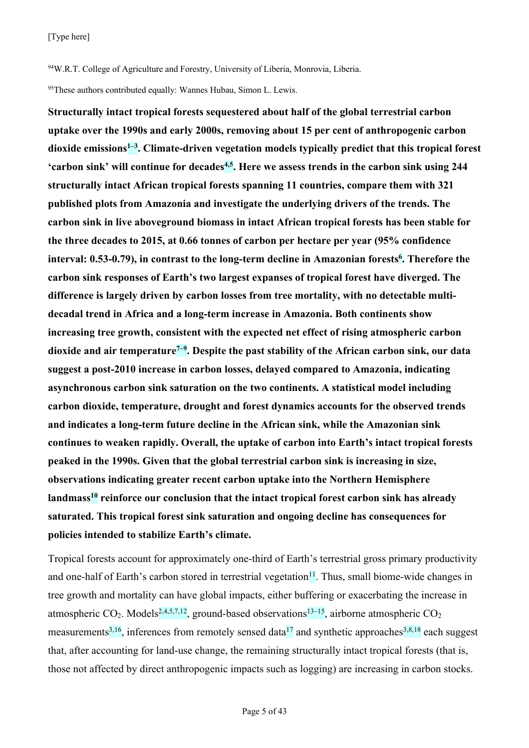<sup>94</sup>W.R.T. College of Agriculture and Forestry, University of Liberia, Monrovia, Liberia.

95 These authors contributed equally: Wannes Hubau, Simon L. Lewis.

**Structurally intact tropical forests sequestered about half of the global terrestrial carbon uptake over the 1990s and early 2000s, removing about 15 per cent of anthropogenic carbon dioxide emissions1–3 . Climate-driven vegetation models typically predict that this tropical forest 'carbon sink' will continue for decades4,5. Here we assess trends in the carbon sink using 244 structurally intact African tropical forests spanning 11 countries, compare them with 321 published plots from Amazonia and investigate the underlying drivers of the trends. The carbon sink in live aboveground biomass in intact African tropical forests has been stable for the three decades to 2015, at 0.66 tonnes of carbon per hectare per year (95% confidence**  interval: 0.53-0.79), in contrast to the long-term decline in Amazonian forests<sup>6</sup>. Therefore the **carbon sink responses of Earth's two largest expanses of tropical forest have diverged. The difference is largely driven by carbon losses from tree mortality, with no detectable multidecadal trend in Africa and a long-term increase in Amazonia. Both continents show increasing tree growth, consistent with the expected net effect of rising atmospheric carbon dioxide and air temperature7–9 . Despite the past stability of the African carbon sink, our data suggest a post-2010 increase in carbon losses, delayed compared to Amazonia, indicating asynchronous carbon sink saturation on the two continents. A statistical model including carbon dioxide, temperature, drought and forest dynamics accounts for the observed trends and indicates a long-term future decline in the African sink, while the Amazonian sink continues to weaken rapidly. Overall, the uptake of carbon into Earth's intact tropical forests peaked in the 1990s. Given that the global terrestrial carbon sink is increasing in size, observations indicating greater recent carbon uptake into the Northern Hemisphere landmass10 reinforce our conclusion that the intact tropical forest carbon sink has already saturated. This tropical forest sink saturation and ongoing decline has consequences for policies intended to stabilize Earth's climate.**

Tropical forests account for approximately one-third of Earth's terrestrial gross primary productivity and one-half of Earth's carbon stored in terrestrial vegetation<sup>11</sup>. Thus, small biome-wide changes in tree growth and mortality can have global impacts, either buffering or exacerbating the increase in atmospheric CO<sub>2</sub>. Models<sup>2,4,5,7,12</sup>, ground-based observations<sup>13–15</sup>, airborne atmospheric CO<sub>2</sub> measurements<sup>3,16</sup>, inferences from remotely sensed data<sup>17</sup> and synthetic approaches<sup>3,8,18</sup> each suggest that, after accounting for land-use change, the remaining structurally intact tropical forests (that is, those not affected by direct anthropogenic impacts such as logging) are increasing in carbon stocks.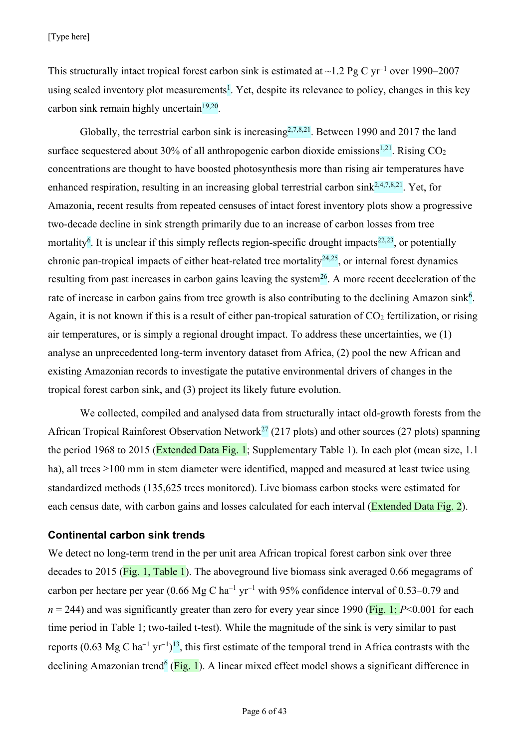This structurally intact tropical forest carbon sink is estimated at  $\sim$ 1.2 Pg C yr<sup>-1</sup> over 1990–2007 using scaled inventory plot measurements<sup>1</sup>. Yet, despite its relevance to policy, changes in this key carbon sink remain highly uncertain $19,20$ .

Globally, the terrestrial carbon sink is increasing  $2,7,8,21$ . Between 1990 and 2017 the land surface sequestered about 30% of all anthropogenic carbon dioxide emissions<sup>1,21</sup>. Rising  $CO<sub>2</sub>$ concentrations are thought to have boosted photosynthesis more than rising air temperatures have enhanced respiration, resulting in an increasing global terrestrial carbon sink $^{2,4,7,8,21}$ . Yet, for Amazonia, recent results from repeated censuses of intact forest inventory plots show a progressive two-decade decline in sink strength primarily due to an increase of carbon losses from tree mortality<sup>6</sup>. It is unclear if this simply reflects region-specific drought impacts<sup>22,23</sup>, or potentially chronic pan-tropical impacts of either heat-related tree mortality<sup>24,25</sup>, or internal forest dynamics resulting from past increases in carbon gains leaving the system<sup>26</sup>. A more recent deceleration of the rate of increase in carbon gains from tree growth is also contributing to the declining Amazon sink<sup>6</sup>. Again, it is not known if this is a result of either pan-tropical saturation of  $CO<sub>2</sub>$  fertilization, or rising air temperatures, or is simply a regional drought impact. To address these uncertainties, we (1) analyse an unprecedented long-term inventory dataset from Africa, (2) pool the new African and existing Amazonian records to investigate the putative environmental drivers of changes in the tropical forest carbon sink, and (3) project its likely future evolution.

We collected, compiled and analysed data from structurally intact old-growth forests from the African Tropical Rainforest Observation Network<sup>27</sup> (217 plots) and other sources (27 plots) spanning the period 1968 to 2015 (Extended Data Fig. 1; Supplementary Table 1). In each plot (mean size, 1.1) ha), all trees  $\geq 100$  mm in stem diameter were identified, mapped and measured at least twice using standardized methods (135,625 trees monitored). Live biomass carbon stocks were estimated for each census date, with carbon gains and losses calculated for each interval (Extended Data Fig. 2).

# **Continental carbon sink trends**

We detect no long-term trend in the per unit area African tropical forest carbon sink over three decades to 2015 (Fig. 1, Table 1). The aboveground live biomass sink averaged 0.66 megagrams of carbon per hectare per year (0.66 Mg C ha<sup>-1</sup> yr<sup>-1</sup> with 95% confidence interval of 0.53–0.79 and  $n = 244$ ) and was significantly greater than zero for every year since 1990 (Fig. 1;  $P \le 0.001$  for each time period in Table 1; two-tailed t-test). While the magnitude of the sink is very similar to past reports (0.63 Mg C ha<sup>-1</sup> yr<sup>-1</sup>)<sup>13</sup>, this first estimate of the temporal trend in Africa contrasts with the declining Amazonian trend<sup>6</sup> (Fig. 1). A linear mixed effect model shows a significant difference in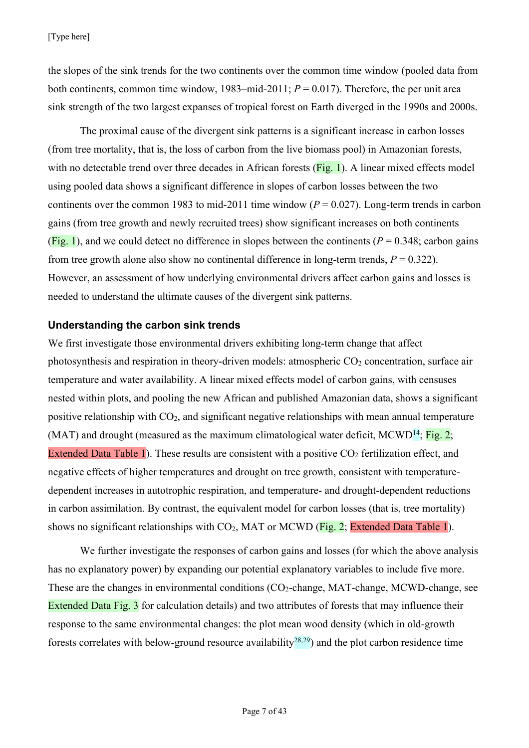the slopes of the sink trends for the two continents over the common time window (pooled data from both continents, common time window, 1983–mid-2011; *P* = 0.017). Therefore, the per unit area sink strength of the two largest expanses of tropical forest on Earth diverged in the 1990s and 2000s.

The proximal cause of the divergent sink patterns is a significant increase in carbon losses (from tree mortality, that is, the loss of carbon from the live biomass pool) in Amazonian forests, with no detectable trend over three decades in African forests (Fig. 1). A linear mixed effects model using pooled data shows a significant difference in slopes of carbon losses between the two continents over the common 1983 to mid-2011 time window  $(P = 0.027)$ . Long-term trends in carbon gains (from tree growth and newly recruited trees) show significant increases on both continents (Fig. 1), and we could detect no difference in slopes between the continents ( $P = 0.348$ ; carbon gains from tree growth alone also show no continental difference in long-term trends,  $P = 0.322$ ). However, an assessment of how underlying environmental drivers affect carbon gains and losses is needed to understand the ultimate causes of the divergent sink patterns.

# **Understanding the carbon sink trends**

We first investigate those environmental drivers exhibiting long-term change that affect photosynthesis and respiration in theory-driven models: atmospheric  $CO<sub>2</sub>$  concentration, surface air temperature and water availability. A linear mixed effects model of carbon gains, with censuses nested within plots, and pooling the new African and published Amazonian data, shows a significant positive relationship with  $CO<sub>2</sub>$ , and significant negative relationships with mean annual temperature (MAT) and drought (measured as the maximum climatological water deficit, MCWD<sup>14</sup>; Fig. 2; Extended Data Table 1). These results are consistent with a positive  $CO<sub>2</sub>$  fertilization effect, and negative effects of higher temperatures and drought on tree growth, consistent with temperaturedependent increases in autotrophic respiration, and temperature- and drought-dependent reductions in carbon assimilation. By contrast, the equivalent model for carbon losses (that is, tree mortality) shows no significant relationships with  $CO<sub>2</sub>$ , MAT or MCWD (Fig. 2; Extended Data Table 1).

We further investigate the responses of carbon gains and losses (for which the above analysis has no explanatory power) by expanding our potential explanatory variables to include five more. These are the changes in environmental conditions (CO<sub>2</sub>-change, MAT-change, MCWD-change, see Extended Data Fig. 3 for calculation details) and two attributes of forests that may influence their response to the same environmental changes: the plot mean wood density (which in old-growth forests correlates with below-ground resource availability<sup>28,29</sup>) and the plot carbon residence time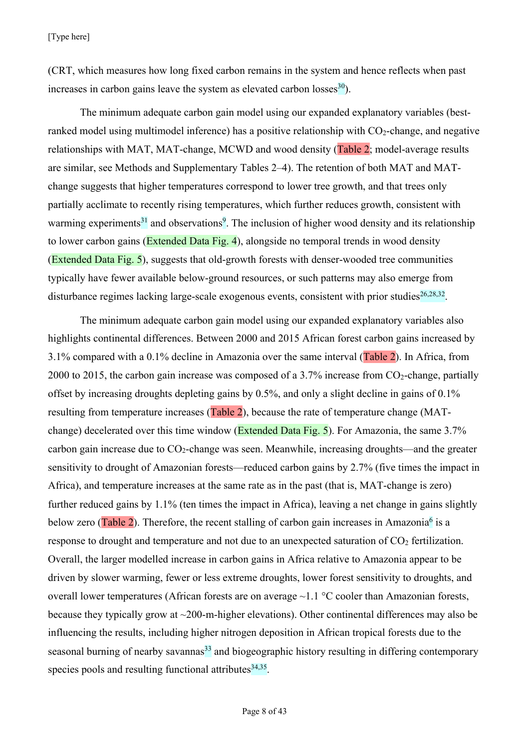(CRT, which measures how long fixed carbon remains in the system and hence reflects when past increases in carbon gains leave the system as elevated carbon losses $30$ .

The minimum adequate carbon gain model using our expanded explanatory variables (bestranked model using multimodel inference) has a positive relationship with  $CO<sub>2</sub>$ -change, and negative relationships with MAT, MAT-change, MCWD and wood density (Table 2; model-average results are similar, see Methods and Supplementary Tables 2–4). The retention of both MAT and MATchange suggests that higher temperatures correspond to lower tree growth, and that trees only partially acclimate to recently rising temperatures, which further reduces growth, consistent with warming experiments<sup>31</sup> and observations<sup>9</sup>. The inclusion of higher wood density and its relationship to lower carbon gains (Extended Data Fig. 4), alongside no temporal trends in wood density (Extended Data Fig. 5), suggests that old-growth forests with denser-wooded tree communities typically have fewer available below-ground resources, or such patterns may also emerge from disturbance regimes lacking large-scale exogenous events, consistent with prior studies<sup>26,28,32</sup>.

The minimum adequate carbon gain model using our expanded explanatory variables also highlights continental differences. Between 2000 and 2015 African forest carbon gains increased by 3.1% compared with a 0.1% decline in Amazonia over the same interval (Table 2). In Africa, from 2000 to 2015, the carbon gain increase was composed of a  $3.7\%$  increase from CO<sub>2</sub>-change, partially offset by increasing droughts depleting gains by 0.5%, and only a slight decline in gains of 0.1% resulting from temperature increases (Table 2), because the rate of temperature change (MATchange) decelerated over this time window (Extended Data Fig. 5). For Amazonia, the same 3.7% carbon gain increase due to  $CO<sub>2</sub>$ -change was seen. Meanwhile, increasing droughts—and the greater sensitivity to drought of Amazonian forests—reduced carbon gains by 2.7% (five times the impact in Africa), and temperature increases at the same rate as in the past (that is, MAT-change is zero) further reduced gains by 1.1% (ten times the impact in Africa), leaving a net change in gains slightly below zero (Table 2). Therefore, the recent stalling of carbon gain increases in Amazonia<sup>6</sup> is a response to drought and temperature and not due to an unexpected saturation of  $CO<sub>2</sub>$  fertilization. Overall, the larger modelled increase in carbon gains in Africa relative to Amazonia appear to be driven by slower warming, fewer or less extreme droughts, lower forest sensitivity to droughts, and overall lower temperatures (African forests are on average ~1.1 °C cooler than Amazonian forests, because they typically grow at ~200-m-higher elevations). Other continental differences may also be influencing the results, including higher nitrogen deposition in African tropical forests due to the seasonal burning of nearby savannas<sup>33</sup> and biogeographic history resulting in differing contemporary species pools and resulting functional attributes  $34,35$ .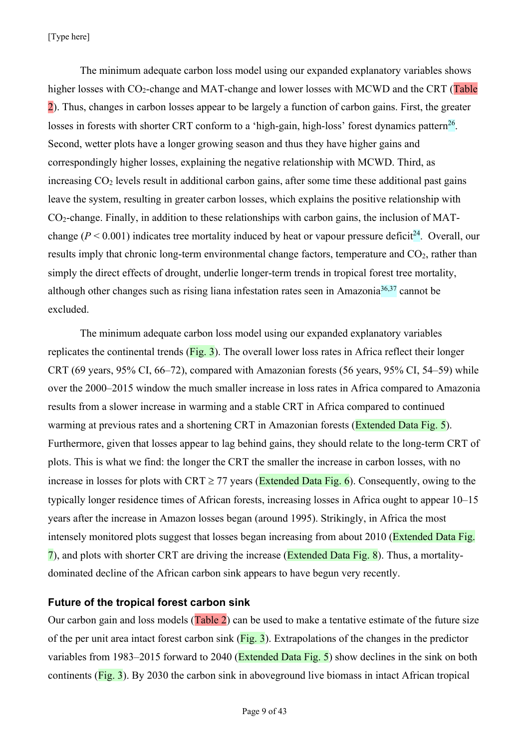[Type here]

The minimum adequate carbon loss model using our expanded explanatory variables shows higher losses with CO<sub>2</sub>-change and MAT-change and lower losses with MCWD and the CRT (Table 2). Thus, changes in carbon losses appear to be largely a function of carbon gains. First, the greater losses in forests with shorter CRT conform to a 'high-gain, high-loss' forest dynamics pattern<sup>26</sup>. Second, wetter plots have a longer growing season and thus they have higher gains and correspondingly higher losses, explaining the negative relationship with MCWD. Third, as increasing  $CO<sub>2</sub>$  levels result in additional carbon gains, after some time these additional past gains leave the system, resulting in greater carbon losses, which explains the positive relationship with CO2-change. Finally, in addition to these relationships with carbon gains, the inclusion of MATchange ( $P < 0.001$ ) indicates tree mortality induced by heat or vapour pressure deficit<sup>24</sup>. Overall, our results imply that chronic long-term environmental change factors, temperature and  $CO<sub>2</sub>$ , rather than simply the direct effects of drought, underlie longer-term trends in tropical forest tree mortality, although other changes such as rising liana infestation rates seen in Amazonia<sup>36,37</sup> cannot be excluded.

The minimum adequate carbon loss model using our expanded explanatory variables replicates the continental trends ( $\overline{Fig. 3}$ ). The overall lower loss rates in Africa reflect their longer CRT (69 years, 95% CI, 66–72), compared with Amazonian forests (56 years, 95% CI, 54–59) while over the 2000–2015 window the much smaller increase in loss rates in Africa compared to Amazonia results from a slower increase in warming and a stable CRT in Africa compared to continued warming at previous rates and a shortening CRT in Amazonian forests (Extended Data Fig. 5). Furthermore, given that losses appear to lag behind gains, they should relate to the long-term CRT of plots. This is what we find: the longer the CRT the smaller the increase in carbon losses, with no increase in losses for plots with CRT  $\geq$  77 years (Extended Data Fig. 6). Consequently, owing to the typically longer residence times of African forests, increasing losses in Africa ought to appear 10–15 years after the increase in Amazon losses began (around 1995). Strikingly, in Africa the most intensely monitored plots suggest that losses began increasing from about 2010 (Extended Data Fig. 7), and plots with shorter CRT are driving the increase (Extended Data Fig. 8). Thus, a mortalitydominated decline of the African carbon sink appears to have begun very recently.

# **Future of the tropical forest carbon sink**

Our carbon gain and loss models (Table 2) can be used to make a tentative estimate of the future size of the per unit area intact forest carbon sink (Fig. 3). Extrapolations of the changes in the predictor variables from 1983–2015 forward to 2040 (Extended Data Fig. 5) show declines in the sink on both continents (Fig. 3). By 2030 the carbon sink in aboveground live biomass in intact African tropical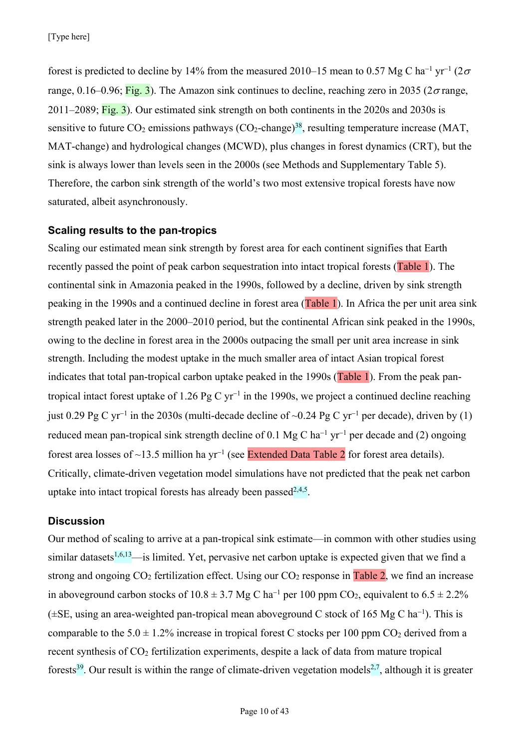forest is predicted to decline by 14% from the measured 2010–15 mean to 0.57 Mg C ha<sup>-1</sup> yr<sup>-1</sup> (2 $\sigma$ ) range, 0.16–0.96; Fig. 3). The Amazon sink continues to decline, reaching zero in 2035 ( $2\sigma$  range, 2011–2089;  $\overline{Fig. 3}$ ). Our estimated sink strength on both continents in the 2020s and 2030s is sensitive to future  $CO_2$  emissions pathways  $(CO_2$ -change)<sup>38</sup>, resulting temperature increase (MAT, MAT-change) and hydrological changes (MCWD), plus changes in forest dynamics (CRT), but the sink is always lower than levels seen in the 2000s (see Methods and Supplementary Table 5). Therefore, the carbon sink strength of the world's two most extensive tropical forests have now saturated, albeit asynchronously.

# **Scaling results to the pan-tropics**

Scaling our estimated mean sink strength by forest area for each continent signifies that Earth recently passed the point of peak carbon sequestration into intact tropical forests (Table 1). The continental sink in Amazonia peaked in the 1990s, followed by a decline, driven by sink strength peaking in the 1990s and a continued decline in forest area (Table 1). In Africa the per unit area sink strength peaked later in the 2000–2010 period, but the continental African sink peaked in the 1990s, owing to the decline in forest area in the 2000s outpacing the small per unit area increase in sink strength. Including the modest uptake in the much smaller area of intact Asian tropical forest indicates that total pan-tropical carbon uptake peaked in the 1990s (Table 1). From the peak pantropical intact forest uptake of 1.26 Pg C  $yr^{-1}$  in the 1990s, we project a continued decline reaching just 0.29 Pg C yr<sup>-1</sup> in the 2030s (multi-decade decline of ~0.24 Pg C yr<sup>-1</sup> per decade), driven by (1) reduced mean pan-tropical sink strength decline of 0.1 Mg C ha<sup>-1</sup> yr<sup>-1</sup> per decade and (2) ongoing forest area losses of ~13.5 million ha yr<sup>-1</sup> (see Extended Data Table 2 for forest area details). Critically, climate-driven vegetation model simulations have not predicted that the peak net carbon uptake into intact tropical forests has already been passed<sup>2,4,5</sup>.

# **Discussion**

Our method of scaling to arrive at a pan-tropical sink estimate—in common with other studies using similar datasets $1,6,13$ —is limited. Yet, pervasive net carbon uptake is expected given that we find a strong and ongoing  $CO_2$  fertilization effect. Using our  $CO_2$  response in Table 2, we find an increase in aboveground carbon stocks of  $10.8 \pm 3.7$  Mg C ha<sup>-1</sup> per 100 ppm CO<sub>2</sub>, equivalent to  $6.5 \pm 2.2$ %  $(\pm SE$ , using an area-weighted pan-tropical mean aboveground C stock of 165 Mg C ha<sup>-1</sup>). This is comparable to the  $5.0 \pm 1.2\%$  increase in tropical forest C stocks per 100 ppm CO<sub>2</sub> derived from a recent synthesis of CO<sub>2</sub> fertilization experiments, despite a lack of data from mature tropical forests<sup>39</sup>. Our result is within the range of climate-driven vegetation models<sup>2,7</sup>, although it is greater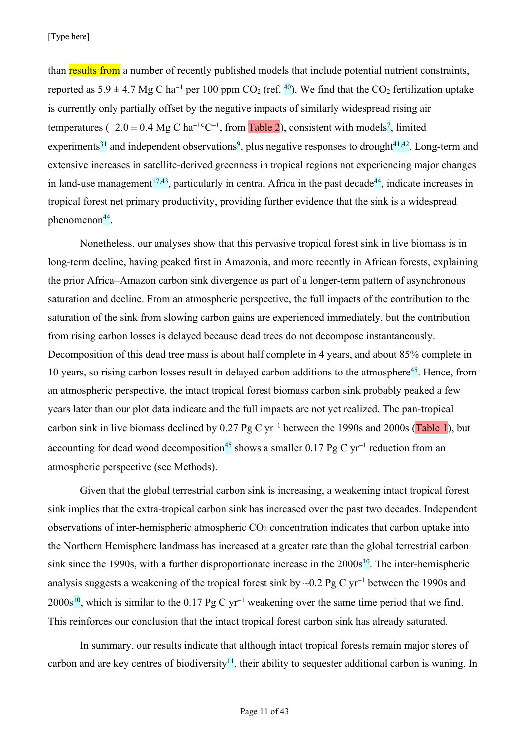than results from a number of recently published models that include potential nutrient constraints, reported as  $5.9 \pm 4.7$  Mg C ha<sup>-1</sup> per 100 ppm CO<sub>2</sub> (ref. <sup>40</sup>). We find that the CO<sub>2</sub> fertilization uptake is currently only partially offset by the negative impacts of similarly widespread rising air temperatures  $(-2.0 \pm 0.4 \text{ Mg C ha}^{-1}^{\circ}\text{C}^{-1}$ , from Table 2), consistent with models<sup>7</sup>, limited experiments<sup>31</sup> and independent observations<sup>9</sup>, plus negative responses to drought<sup>41,42</sup>. Long-term and extensive increases in satellite-derived greenness in tropical regions not experiencing major changes in land-use management<sup>17,43</sup>, particularly in central Africa in the past decade<sup>44</sup>, indicate increases in tropical forest net primary productivity, providing further evidence that the sink is a widespread  $phenomenon<sup>44</sup>$ .

Nonetheless, our analyses show that this pervasive tropical forest sink in live biomass is in long-term decline, having peaked first in Amazonia, and more recently in African forests, explaining the prior Africa–Amazon carbon sink divergence as part of a longer-term pattern of asynchronous saturation and decline. From an atmospheric perspective, the full impacts of the contribution to the saturation of the sink from slowing carbon gains are experienced immediately, but the contribution from rising carbon losses is delayed because dead trees do not decompose instantaneously. Decomposition of this dead tree mass is about half complete in 4 years, and about 85% complete in 10 years, so rising carbon losses result in delayed carbon additions to the atmosphere<sup>45</sup>. Hence, from an atmospheric perspective, the intact tropical forest biomass carbon sink probably peaked a few years later than our plot data indicate and the full impacts are not yet realized. The pan-tropical carbon sink in live biomass declined by  $0.27$  Pg C yr<sup>-1</sup> between the 1990s and 2000s (Table 1), but accounting for dead wood decomposition<sup>45</sup> shows a smaller 0.17 Pg C yr<sup>-1</sup> reduction from an atmospheric perspective (see Methods).

Given that the global terrestrial carbon sink is increasing, a weakening intact tropical forest sink implies that the extra-tropical carbon sink has increased over the past two decades. Independent observations of inter-hemispheric atmospheric  $CO<sub>2</sub>$  concentration indicates that carbon uptake into the Northern Hemisphere landmass has increased at a greater rate than the global terrestrial carbon sink since the 1990s, with a further disproportionate increase in the  $2000s^{10}$ . The inter-hemispheric analysis suggests a weakening of the tropical forest sink by  $\sim 0.2$  Pg C yr<sup>-1</sup> between the 1990s and  $2000s^{10}$ , which is similar to the 0.17 Pg C yr<sup>-1</sup> weakening over the same time period that we find. This reinforces our conclusion that the intact tropical forest carbon sink has already saturated.

In summary, our results indicate that although intact tropical forests remain major stores of carbon and are key centres of biodiversity<sup>11</sup>, their ability to sequester additional carbon is waning. In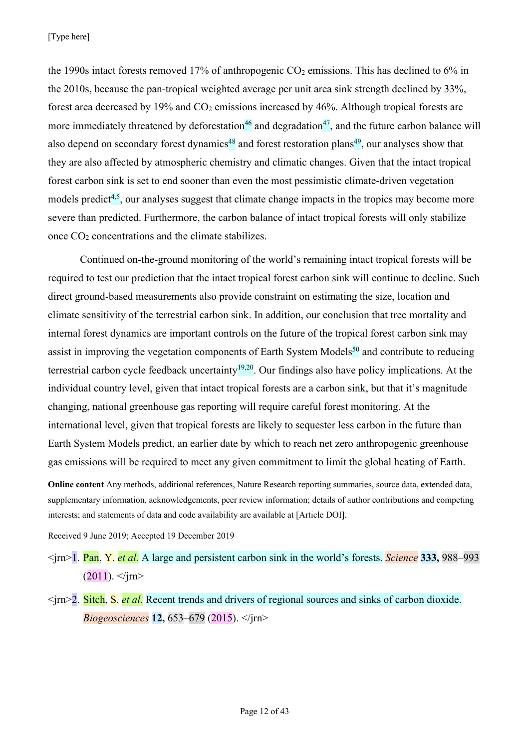[Type here]

the 1990s intact forests removed 17% of anthropogenic  $CO<sub>2</sub>$  emissions. This has declined to 6% in the 2010s, because the pan-tropical weighted average per unit area sink strength declined by 33%, forest area decreased by 19% and  $CO<sub>2</sub>$  emissions increased by 46%. Although tropical forests are more immediately threatened by deforestation<sup>46</sup> and degradation<sup>47</sup>, and the future carbon balance will also depend on secondary forest dynamics<sup>48</sup> and forest restoration plans<sup>49</sup>, our analyses show that they are also affected by atmospheric chemistry and climatic changes. Given that the intact tropical forest carbon sink is set to end sooner than even the most pessimistic climate-driven vegetation models predict<sup> $4,5$ </sup>, our analyses suggest that climate change impacts in the tropics may become more severe than predicted. Furthermore, the carbon balance of intact tropical forests will only stabilize once CO2 concentrations and the climate stabilizes.

Continued on-the-ground monitoring of the world's remaining intact tropical forests will be required to test our prediction that the intact tropical forest carbon sink will continue to decline. Such direct ground-based measurements also provide constraint on estimating the size, location and climate sensitivity of the terrestrial carbon sink. In addition, our conclusion that tree mortality and internal forest dynamics are important controls on the future of the tropical forest carbon sink may assist in improving the vegetation components of Earth System Models<sup>50</sup> and contribute to reducing terrestrial carbon cycle feedback uncertainty<sup>19,20</sup>. Our findings also have policy implications. At the individual country level, given that intact tropical forests are a carbon sink, but that it's magnitude changing, national greenhouse gas reporting will require careful forest monitoring. At the international level, given that tropical forests are likely to sequester less carbon in the future than Earth System Models predict, an earlier date by which to reach net zero anthropogenic greenhouse gas emissions will be required to meet any given commitment to limit the global heating of Earth.

**Online content** Any methods, additional references, Nature Research reporting summaries, source data, extended data, supplementary information, acknowledgements, peer review information; details of author contributions and competing interests; and statements of data and code availability are available at [Article DOI].

Received 9 June 2019; Accepted 19 December 2019

<jrn>1. Pan, Y. *et al.* A large and persistent carbon sink in the world's forests. *Science* **333,** 988–993  $(2011)$ .  $\langle$ irn>

<jrn>2. Sitch, S. *et al.* Recent trends and drivers of regional sources and sinks of carbon dioxide. *Biogeosciences* **12,** 653–679 (2015). </jrn>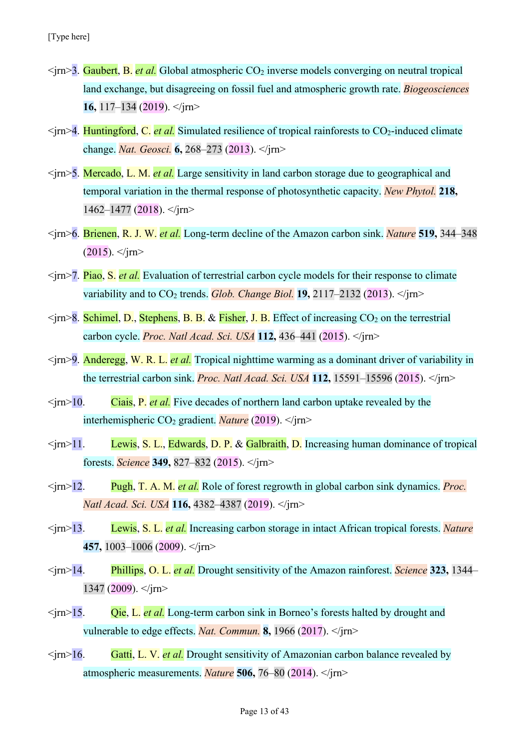- $\langle \text{im}\rangle$ 3. Gaubert, B. *et al.* Global atmospheric CO<sub>2</sub> inverse models converging on neutral tropical land exchange, but disagreeing on fossil fuel and atmospheric growth rate. *Biogeosciences* **16,** 117–134 (2019). </jrn>
- $\langle \text{im}\rangle$  4. Huntingford, C. *et al.* Simulated resilience of tropical rainforests to CO<sub>2</sub>-induced climate change. *Nat. Geosci.* **6,** 268–273 (2013). </jrn>
- <jrn>5. Mercado, L. M. *et al.* Large sensitivity in land carbon storage due to geographical and temporal variation in the thermal response of photosynthetic capacity. *New Phytol.* **218,**  $1462 - 1477$  (2018).  $\langle$ irn>
- <jrn>6. Brienen, R. J. W. *et al.* Long-term decline of the Amazon carbon sink. *Nature* **519,** 344–348  $(2015)$ .  $\langle$ irn>
- <jrn>7. Piao, S. *et al.* Evaluation of terrestrial carbon cycle models for their response to climate variability and to  $CO_2$  trends. *Glob. Change Biol.* **19,** 2117–2132 (2013).  $\langle \cdot \rangle$  *irn*
- $\langle \text{irn} \rangle$ 8. Schimel, D., Stephens, B. B. & Fisher, J. B. Effect of increasing CO<sub>2</sub> on the terrestrial carbon cycle. *Proc. Natl Acad. Sci. USA* **112,** 436–441 (2015). </jrn>
- <jrn>9. Anderegg, W. R. L. *et al.* Tropical nighttime warming as a dominant driver of variability in the terrestrial carbon sink. *Proc. Natl Acad. Sci. USA* **112,** 15591–15596 (2015). </jrn>
- $\langle \text{cm} \rangle$  10. Ciais, P. *et al.* Five decades of northern land carbon uptake revealed by the interhemispheric CO2 gradient. *Nature* (2019). </jrn>
- $\langle \text{irn} \rangle$ 11. Lewis, S. L., Edwards, D. P. & Galbraith, D. Increasing human dominance of tropical forests. *Science* **349,** 827–832 (2015). </jrn>
- <jrn>12. Pugh, T. A. M. *et al.* Role of forest regrowth in global carbon sink dynamics. *Proc. Natl Acad. Sci. USA* **116,** 4382–4387 (2019). </jrn>
- <jrn>13. Lewis, S. L. *et al.* Increasing carbon storage in intact African tropical forests. *Nature* **457,** 1003–1006 (2009). </jrn>
- <jrn>14. Phillips, O. L. *et al.* Drought sensitivity of the Amazon rainforest. *Science* **323,** 1344– 1347 (2009).  $\langle$ irn>
- <jrn>15. Qie, L. *et al.* Long-term carbon sink in Borneo's forests halted by drought and vulnerable to edge effects. *Nat. Commun.* **8,** 1966 (2017). </jrn>
- <jrn>16. Gatti, L. V. *et al.* Drought sensitivity of Amazonian carbon balance revealed by atmospheric measurements. *Nature* **506,** 76–80 (2014). </jrn>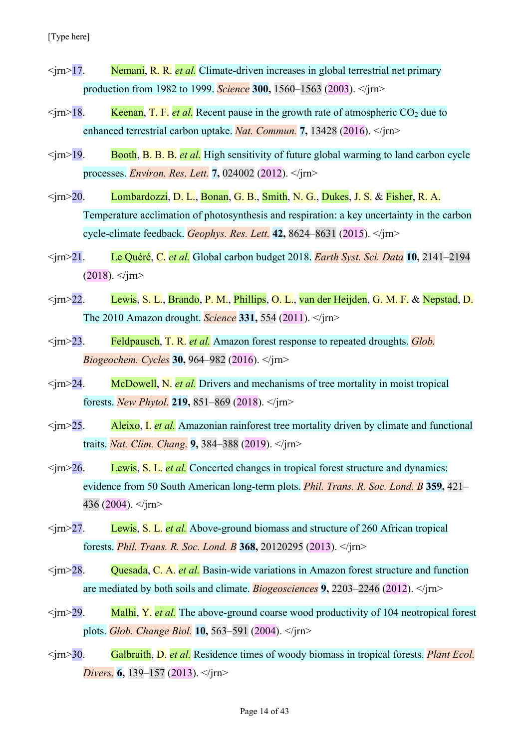- <jrn>17. Nemani, R. R. *et al.* Climate-driven increases in global terrestrial net primary production from 1982 to 1999. *Science* **300,** 1560–1563 (2003). </jrn>
- $\langle \text{irn} \rangle$  18. Keenan, T. F. *et al.* Recent pause in the growth rate of atmospheric CO<sub>2</sub> due to enhanced terrestrial carbon uptake. *Nat. Commun.* **7,** 13428 (2016). </jrn>
- $\langle \text{im}\rangle$  19. Booth, B. B. B. *et al.* High sensitivity of future global warming to land carbon cycle processes. *Environ. Res. Lett.* **7,** 024002 (2012). </jrn>
- <jrn>20. Lombardozzi, D. L., Bonan, G. B., Smith, N. G., Dukes, J. S. & Fisher, R. A. Temperature acclimation of photosynthesis and respiration: a key uncertainty in the carbon cycle-climate feedback. *Geophys. Res. Lett.* **42,** 8624–8631 (2015). </jrn>
- <jrn>21. Le Quéré, C. *et al.* Global carbon budget 2018. *Earth Syst. Sci. Data* **10,** 2141–2194  $(2018)$ .  $\langle$ /jm>
- <jrn>22. Lewis, S. L., Brando, P. M., Phillips, O. L., van der Heijden, G. M. F. & Nepstad, D. The 2010 Amazon drought. *Science* **331,** 554 (2011). </jrn>
- <jrn>23. Feldpausch, T. R. *et al.* Amazon forest response to repeated droughts. *Glob. Biogeochem. Cycles* **30,** 964–982 (2016). </jrn>
- <jrn>24. McDowell, N. *et al.* Drivers and mechanisms of tree mortality in moist tropical forests. *New Phytol.* **219,** 851–869 (2018). </jrn>
- <jrn>25. Aleixo, I. *et al.* Amazonian rainforest tree mortality driven by climate and functional traits. *Nat. Clim. Chang.* **9,** 384–388 (2019). </jrn>
- <jrn>26. Lewis, S. L. *et al.* Concerted changes in tropical forest structure and dynamics: evidence from 50 South American long-term plots. *Phil. Trans. R. Soc. Lond. B* **359,** 421– 436 (2004).  $\langle$ jm>
- <jrn>27. Lewis, S. L. *et al.* Above-ground biomass and structure of 260 African tropical forests. *Phil. Trans. R. Soc. Lond. B* **368,** 20120295 (2013). </jrn>
- <jrn>28. Quesada, C. A. *et al.* Basin-wide variations in Amazon forest structure and function are mediated by both soils and climate. *Biogeosciences* **9,** 2203–2246 (2012). </jrn>
- <jrn>29. Malhi, Y. *et al.* The above-ground coarse wood productivity of 104 neotropical forest plots. *Glob. Change Biol.* **10,** 563–591 (2004). </jrn>
- <jrn>30. Galbraith, D. *et al.* Residence times of woody biomass in tropical forests. *Plant Ecol. Divers.* **6,** 139–157 (2013). </jrn>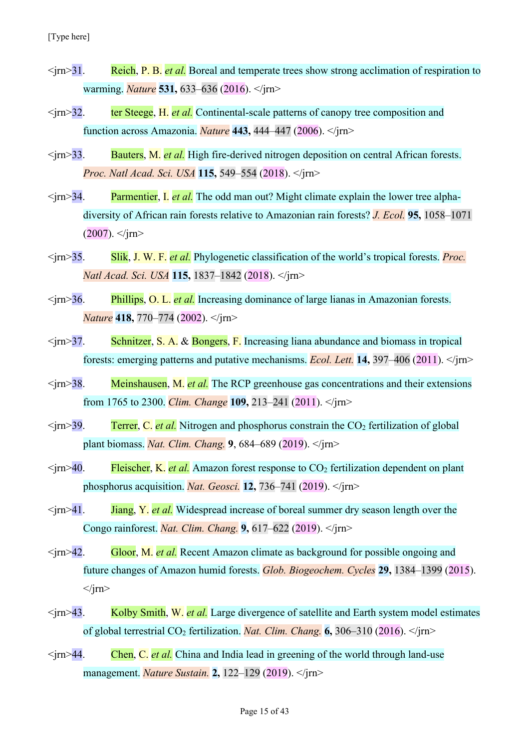- <jrn>31. Reich, P. B. *et al.* Boreal and temperate trees show strong acclimation of respiration to warming. *Nature* **531,** 633–636 (2016). </jrn>
- <jrn>32. ter Steege, H. *et al.* Continental-scale patterns of canopy tree composition and function across Amazonia. *Nature* **443,** 444–447 (2006). </jrn>
- <jrn>33. Bauters, M. *et al.* High fire-derived nitrogen deposition on central African forests. *Proc. Natl Acad. Sci. USA* **115,** 549–554 (2018). </jrn>
- <jrn>34. Parmentier, I. *et al.* The odd man out? Might climate explain the lower tree alphadiversity of African rain forests relative to Amazonian rain forests? *J. Ecol.* **95,** 1058–1071  $(2007)$ .  $\langle$ irn>
- <jrn>35. Slik, J. W. F. *et al.* Phylogenetic classification of the world's tropical forests. *Proc. Natl Acad. Sci. USA* **115,** 1837–1842 (2018). </jrn>
- <jrn>36. Phillips, O. L. *et al.* Increasing dominance of large lianas in Amazonian forests. *Nature* **418,** 770–774 (2002). </jrn>
- $\langle \text{im}\rangle$ 37. Schnitzer, S. A. & Bongers, F. Increasing liana abundance and biomass in tropical forests: emerging patterns and putative mechanisms. *Ecol. Lett.* **14,** 397–406 (2011). </jrn>
- <jrn>38. Meinshausen, M. *et al.* The RCP greenhouse gas concentrations and their extensions from 1765 to 2300. *Clim. Change* **109,** 213–241 (2011). </jrn>
- $\langle \text{irn} \rangle$  39. Terrer, C. *et al.* Nitrogen and phosphorus constrain the CO<sub>2</sub> fertilization of global plant biomass. *Nat. Clim. Chang.* **9**, 684–689 (2019). </jrn>
- $\langle \text{im} \rangle$ 40. Fleischer, K. *et al.* Amazon forest response to  $\text{CO}_2$  fertilization dependent on plant phosphorus acquisition. *Nat. Geosci.* **12,** 736–741 (2019).  $\langle \cdot \rangle$  *irn*>
- $\langle \text{im} \rangle$ 41. **Jiang, Y.** *et al.* Widespread increase of boreal summer dry season length over the Congo rainforest. *Nat. Clim. Chang.* **9,** 617–622 (2019). </jrn>
- <jrn>42. Gloor, M. *et al.* Recent Amazon climate as background for possible ongoing and future changes of Amazon humid forests. *Glob. Biogeochem. Cycles* **29,** 1384–1399 (2015).  $\langle$ irn $\rangle$
- <jrn>43. Kolby Smith, W. *et al.* Large divergence of satellite and Earth system model estimates of global terrestrial  $CO_2$  fertilization. *Nat. Clim. Chang.* **6**, 306–310 (2016).  $\langle \rangle$ irn>
- <jrn>44. Chen, C. *et al.* China and India lead in greening of the world through land-use management. *Nature Sustain.* **2,** 122–129 (2019). </jrn>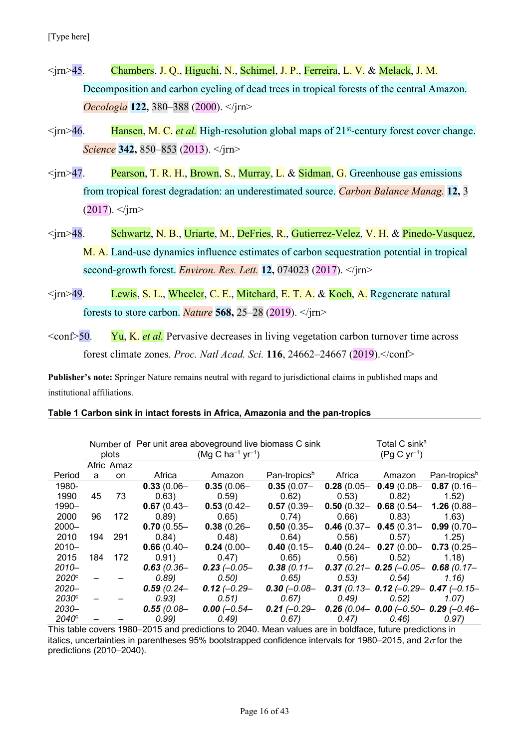- <jrn>45. Chambers, J. Q., Higuchi, N., Schimel, J. P., Ferreira, L. V. & Melack, J. M. Decomposition and carbon cycling of dead trees in tropical forests of the central Amazon. *Oecologia* **122,** 380–388 (2000). </jrn>
- $\langle \text{im}\rangle$ 46. Hansen, M. C. *et al.* High-resolution global maps of 21<sup>st</sup>-century forest cover change. *Science* **342,** 850–853 (2013). </jrn>
- $\langle \text{irn} \rangle$ 47. Pearson, T. R. H., Brown, S., Murray, L. & Sidman, G. Greenhouse gas emissions from tropical forest degradation: an underestimated source. *Carbon Balance Manag.* **12,** 3  $(2017)$ .  $\langle$ irn>
- <jrn>48. Schwartz, N. B., Uriarte, M., DeFries, R., Gutierrez-Velez, V. H. & Pinedo-Vasquez, M. A. Land-use dynamics influence estimates of carbon sequestration potential in tropical second-growth forest. *Environ. Res. Lett.* **12,** 074023 (2017). </jrn>
- $\langle \text{km}\rangle$ 49. Lewis, S. L., Wheeler, C. E., Mitchard, E. T. A. & Koch, A. Regenerate natural forests to store carbon. *Nature* **568,** 25–28 (2019). </jrn>
- <conf>50. Yu, K. *et al.* Pervasive decreases in living vegetation carbon turnover time across forest climate zones. *Proc. Natl Acad. Sci.* **116**, 24662–24667 (2019).</conf>

**Publisher's note:** Springer Nature remains neutral with regard to jurisdictional claims in published maps and institutional affiliations.

#### **Table 1 Carbon sink in intact forests in Africa, Amazonia and the pan-tropics**

|                     |     | plots      | Number of Per unit area aboveground live biomass C sink<br>$(Mg C ha^{-1} yr^{-1})$ |                |                                                                        | Total C sink <sup>a</sup><br>$(Pg C yr^{-1})$ |                                                |                          |  |
|---------------------|-----|------------|-------------------------------------------------------------------------------------|----------------|------------------------------------------------------------------------|-----------------------------------------------|------------------------------------------------|--------------------------|--|
|                     |     | Afric Amaz |                                                                                     |                |                                                                        |                                               |                                                |                          |  |
| Period              | a   | on.        | Africa                                                                              | Amazon         | Pan-tropics <sup>b</sup>                                               |                                               | Africa Amazon                                  | Pan-tropics <sup>b</sup> |  |
| 1980-               |     |            | $0.33(0.06 -$                                                                       | $0.35(0.06 -$  | $0.35(0.07 -$                                                          |                                               | 0.28 (0.05 - 0.49 (0.08 - 0.87 (0.16 -         |                          |  |
| 1990                | 45  | 73         | 0.63)                                                                               | 0.59)          | 0.62)                                                                  | (0.53)                                        | 0.82)                                          | (1.52)                   |  |
| 1990-               |     |            | $0.67(0.43 -$                                                                       | $0.53(0.42 -$  | $0.57(0.39 -$                                                          |                                               | 0.50 (0.32 - 0.68 (0.54 - 1.26 (0.88 -         |                          |  |
| 2000                | 96  | 172        | 0.89)                                                                               | 0.65)          | 0.74)                                                                  | 0.66)                                         | (0.83)                                         | (1.63)                   |  |
| $2000 -$            |     |            | $0.70(0.55 -$                                                                       | $0.38(0.26 -$  | $0.50(0.35 -$                                                          |                                               | 0.46 (0.37 - 0.45 (0.31 - 0.99 (0.70 -         |                          |  |
| 2010                | 194 | 291        | 0.84)                                                                               | (0.48)         | 0.64)                                                                  | (0.56)                                        | 0.57)                                          | 1.25)                    |  |
| $2010 -$            |     |            | $0.66(0.40 -$                                                                       | $0.24(0.00 -$  | $0.40(0.15 -$                                                          |                                               | 0.40 (0.24 - 0.27 (0.00 - 0.73 (0.25 -         |                          |  |
| 2015                | 184 | 172        | 0.91)                                                                               | 0.47)          | 0.65)                                                                  |                                               | $0.56$ $0.52$                                  | 1.18)                    |  |
| $2010 -$            |     |            | $0.63(0.36 -$                                                                       | $0.23$ (-0.05- | $0.38(0.11 -$                                                          |                                               | 0.37 (0.21 - 0.25 (-0.05 - 0.68 (0.17 -        |                          |  |
| $2020$ <sup>c</sup> |     |            | 0.89)                                                                               | (0.50)         | 0.65)                                                                  |                                               | $(0.53)$ $(0.54)$                              | 1.16)                    |  |
| $2020 -$            |     |            | $0.59(0.24 -$                                                                       | $0.12$ (-0.29- | 0.30 ( $-0.08$ –                                                       |                                               | 0.31 (0.13 - 0.12 ( $-0.29$ - 0.47 ( $-0.15$ - |                          |  |
| $2030^\circ$        |     |            | (0.93)                                                                              | (0.51)         | 0.67)                                                                  |                                               | $(0.49)$ $(0.52)$                              | 1.07)                    |  |
| $2030 -$            |     |            | $0.55(0.08 -$                                                                       |                | 0.00 $(-0.54 - 0.21 (-0.29 - 0.26 (0.04 - 0.00 (-0.50 - 0.29 (-0.46 -$ |                                               |                                                |                          |  |
| $2040^\circ$        |     |            | 0.99)                                                                               | (0.49)         | (0.67)                                                                 |                                               | $(0.47)$ $(0.46)$                              | 0.97)                    |  |

This table covers 1980–2015 and predictions to 2040. Mean values are in boldface, future predictions in italics, uncertainties in parentheses 95% bootstrapped confidence intervals for 1980–2015, and  $2\sigma$  for the predictions (2010–2040).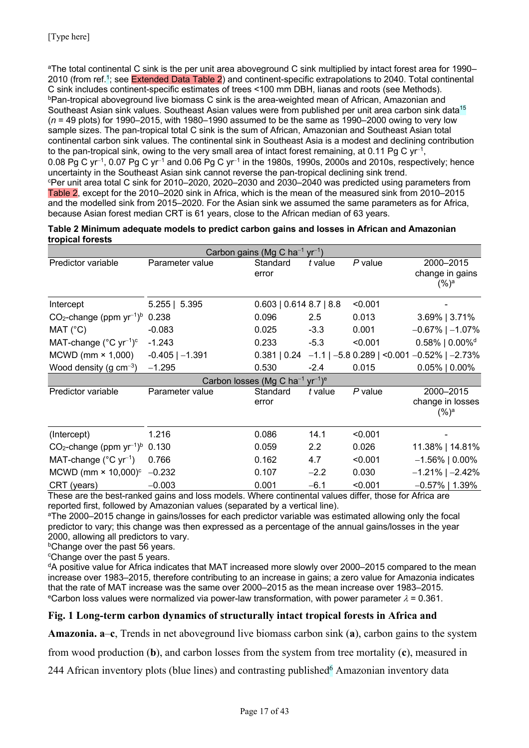aThe total continental C sink is the per unit area aboveground C sink multiplied by intact forest area for 1990– 2010 (from ref.1; see Extended Data Table 2) and continent-specific extrapolations to 2040. Total continental C sink includes continent-specific estimates of trees <100 mm DBH, lianas and roots (see Methods). bPan-tropical aboveground live biomass C sink is the area-weighted mean of African, Amazonian and Southeast Asian sink values. Southeast Asian values were from published per unit area carbon sink data<sup>15</sup> (*n* = 49 plots) for 1990–2015, with 1980–1990 assumed to be the same as 1990–2000 owing to very low sample sizes. The pan-tropical total C sink is the sum of African, Amazonian and Southeast Asian total continental carbon sink values. The continental sink in Southeast Asia is a modest and declining contribution to the pan-tropical sink, owing to the very small area of intact forest remaining, at 0.11 Pg C  $yr^{-1}$ . 0.08 Pg C yr<sup>-1</sup>, 0.07 Pg C yr<sup>-1</sup> and 0.06 Pg C yr<sup>-1</sup> in the 1980s, 1990s, 2000s and 2010s, respectively; hence uncertainty in the Southeast Asian sink cannot reverse the pan-tropical declining sink trend. c Per unit area total C sink for 2010–2020, 2020–2030 and 2030–2040 was predicted using parameters from Table 2, except for the 2010–2020 sink in Africa, which is the mean of the measured sink from 2010–2015 and the modelled sink from 2015–2020. For the Asian sink we assumed the same parameters as for Africa, because Asian forest median CRT is 61 years, close to the African median of 63 years.

| Table 2 Minimum adequate models to predict carbon gains and losses in African and Amazonian |  |
|---------------------------------------------------------------------------------------------|--|
| tropical forests                                                                            |  |

| Carbon gains (Mg C ha <sup>-1</sup> yr <sup>-1</sup> )                                                 |                     |                         |               |           |                                                      |  |  |  |  |  |
|--------------------------------------------------------------------------------------------------------|---------------------|-------------------------|---------------|-----------|------------------------------------------------------|--|--|--|--|--|
| Predictor variable                                                                                     | Parameter value     | Standard                | t value       | $P$ value | 2000-2015                                            |  |  |  |  |  |
|                                                                                                        |                     | error                   |               |           | change in gains                                      |  |  |  |  |  |
|                                                                                                        |                     |                         |               |           | $(%)^a$                                              |  |  |  |  |  |
| Intercept                                                                                              | $5.255$   5.395     | 0.603   0.614 8.7   8.8 |               | < 0.001   |                                                      |  |  |  |  |  |
| $CO2$ -change (ppm yr <sup>-1)b</sup>                                                                  | 0.238               | 0.096                   | $2.5^{\circ}$ | 0.013     | $3.69\%$   3.71%                                     |  |  |  |  |  |
| MAT (°C)                                                                                               | $-0.083$            | 0.025                   | $-3.3$        | 0.001     | $-0.67\%$   $-1.07\%$                                |  |  |  |  |  |
| MAT-change $(^{\circ}C$ yr <sup>-1</sup> ) <sup>c</sup>                                                | $-1.243$            | 0.233                   | $-5.3$        | < 0.001   | $0.58\%$   $0.00\%$ <sup>d</sup>                     |  |  |  |  |  |
| MCWD ( $mm \times 1,000$ )                                                                             | $-0.405$   $-1.391$ | 0.381   0.24            |               |           | $-1.1$   $-5.8$ 0.289   <0.001 $-0.52\%$   $-2.73\%$ |  |  |  |  |  |
| Wood density (g $cm^{-3}$ )                                                                            | $-1.295$            | 0.530                   | $-2.4$        | 0.015     | $0.05\%$   $0.00\%$                                  |  |  |  |  |  |
| Carbon losses (Mg C ha <sup>-1</sup> yr <sup>-1</sup> ) <sup>e</sup>                                   |                     |                         |               |           |                                                      |  |  |  |  |  |
| Predictor variable                                                                                     | Parameter value     | Standard                | t value       | $P$ value | 2000-2015                                            |  |  |  |  |  |
|                                                                                                        |                     | error                   |               |           | change in losses                                     |  |  |  |  |  |
|                                                                                                        |                     |                         |               |           | $(%)^a$                                              |  |  |  |  |  |
| (Intercept)                                                                                            | 1.216               | 0.086                   | 14.1          | < 0.001   |                                                      |  |  |  |  |  |
| $CO2$ -change (ppm yr <sup>-1)b</sup>                                                                  | 0.130               | 0.059                   | 2.2           | 0.026     | 11.38%   14.81%                                      |  |  |  |  |  |
| MAT-change ( $^{\circ}$ C yr <sup>-1</sup> )                                                           | 0.766               | 0.162                   | 4.7           | < 0.001   | $-1.56\%$   0.00%                                    |  |  |  |  |  |
| MCWD (mm $\times$ 10,000) $\textdegree$                                                                | $-0.232$            | 0.107                   | $-2.2$        | 0.030     | $-1.21\%$   $-2.42\%$                                |  |  |  |  |  |
| CRT (years)                                                                                            | $-0.003$            | 0.001                   | $-6.1$        | < 0.001   | $-0.57\%$   1.39%                                    |  |  |  |  |  |
| These are the best-ranked gains and loss models. Where continental values differ, those for Africa are |                     |                         |               |           |                                                      |  |  |  |  |  |

These are the best-ranked gains and loss models. Where continental values differ, those for Africa are reported first, followed by Amazonian values (separated by a vertical line).

aThe 2000–2015 change in gains/losses for each predictor variable was estimated allowing only the focal predictor to vary; this change was then expressed as a percentage of the annual gains/losses in the year 2000, allowing all predictors to vary.

**bChange over the past 56 years.** 

<sup>c</sup>Change over the past 5 years.

<sup>d</sup>A positive value for Africa indicates that MAT increased more slowly over 2000–2015 compared to the mean increase over 1983–2015, therefore contributing to an increase in gains; a zero value for Amazonia indicates that the rate of MAT increase was the same over 2000–2015 as the mean increase over 1983–2015. eCarbon loss values were normalized via power-law transformation, with power parameter  $\lambda = 0.361$ .

# **Fig. 1 Long-term carbon dynamics of structurally intact tropical forests in Africa and**

**Amazonia. a**–**c**, Trends in net aboveground live biomass carbon sink (**a**), carbon gains to the system

from wood production (**b**), and carbon losses from the system from tree mortality (**c**), measured in

244 African inventory plots (blue lines) and contrasting published<sup>6</sup> Amazonian inventory data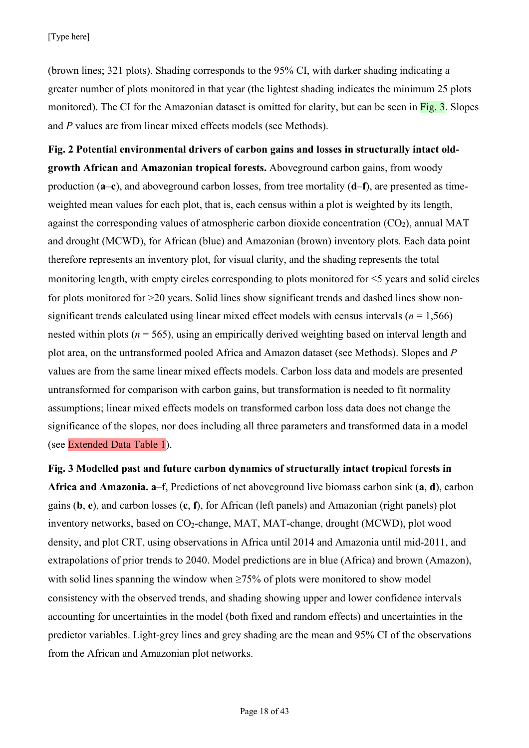(brown lines; 321 plots). Shading corresponds to the 95% CI, with darker shading indicating a greater number of plots monitored in that year (the lightest shading indicates the minimum 25 plots monitored). The CI for the Amazonian dataset is omitted for clarity, but can be seen in Fig. 3. Slopes and *P* values are from linear mixed effects models (see Methods).

**Fig. 2 Potential environmental drivers of carbon gains and losses in structurally intact oldgrowth African and Amazonian tropical forests.** Aboveground carbon gains, from woody production (**a**–**c**), and aboveground carbon losses, from tree mortality (**d**–**f**), are presented as timeweighted mean values for each plot, that is, each census within a plot is weighted by its length, against the corresponding values of atmospheric carbon dioxide concentration  $(CO<sub>2</sub>)$ , annual MAT and drought (MCWD), for African (blue) and Amazonian (brown) inventory plots. Each data point therefore represents an inventory plot, for visual clarity, and the shading represents the total monitoring length, with empty circles corresponding to plots monitored for  $\leq$ 5 years and solid circles for plots monitored for >20 years. Solid lines show significant trends and dashed lines show nonsignificant trends calculated using linear mixed effect models with census intervals ( $n = 1.566$ ) nested within plots ( $n = 565$ ), using an empirically derived weighting based on interval length and plot area, on the untransformed pooled Africa and Amazon dataset (see Methods). Slopes and *P* values are from the same linear mixed effects models. Carbon loss data and models are presented untransformed for comparison with carbon gains, but transformation is needed to fit normality assumptions; linear mixed effects models on transformed carbon loss data does not change the significance of the slopes, nor does including all three parameters and transformed data in a model (see Extended Data Table 1).

**Fig. 3 Modelled past and future carbon dynamics of structurally intact tropical forests in Africa and Amazonia. a**–**f**, Predictions of net aboveground live biomass carbon sink (**a**, **d**), carbon gains (**b**, **e**), and carbon losses (**c**, **f**), for African (left panels) and Amazonian (right panels) plot inventory networks, based on CO<sub>2</sub>-change, MAT, MAT-change, drought (MCWD), plot wood density, and plot CRT, using observations in Africa until 2014 and Amazonia until mid-2011, and extrapolations of prior trends to 2040. Model predictions are in blue (Africa) and brown (Amazon), with solid lines spanning the window when  $\geq$ 75% of plots were monitored to show model consistency with the observed trends, and shading showing upper and lower confidence intervals accounting for uncertainties in the model (both fixed and random effects) and uncertainties in the predictor variables. Light-grey lines and grey shading are the mean and 95% CI of the observations from the African and Amazonian plot networks.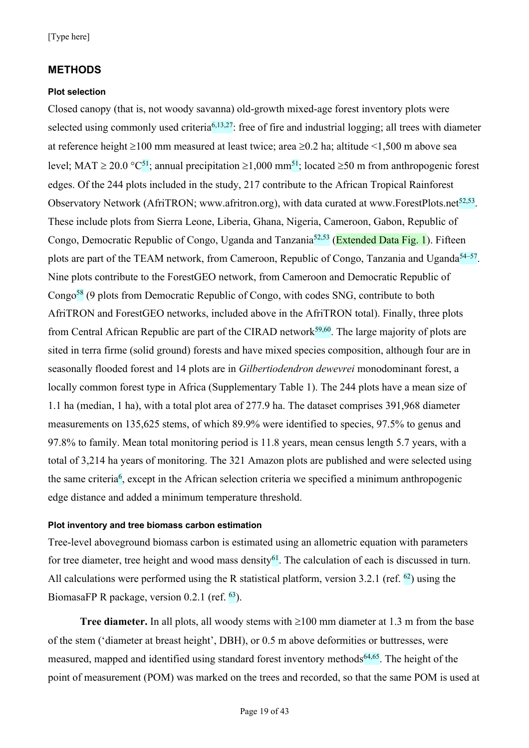### **METHODS**

#### **Plot selection**

Closed canopy (that is, not woody savanna) old-growth mixed-age forest inventory plots were selected using commonly used criteria<sup>6,13,27</sup>: free of fire and industrial logging; all trees with diameter at reference height  $\geq 100$  mm measured at least twice; area  $\geq 0.2$  ha; altitude  $\leq 1,500$  m above sea level: MAT  $\geq 20.0$  °C<sup>51</sup>; annual precipitation  $\geq 1.000$  mm<sup>51</sup>; located  $\geq 50$  m from anthropogenic forest edges. Of the 244 plots included in the study, 217 contribute to the African Tropical Rainforest Observatory Network (AfriTRON; www.afritron.org), with data curated at www.ForestPlots.net<sup>52,53</sup>. These include plots from Sierra Leone, Liberia, Ghana, Nigeria, Cameroon, Gabon, Republic of Congo, Democratic Republic of Congo, Uganda and Tanzania<sup>52,53</sup> (Extended Data Fig. 1). Fifteen plots are part of the TEAM network, from Cameroon, Republic of Congo, Tanzania and Uganda<sup>54–57</sup>. Nine plots contribute to the ForestGEO network, from Cameroon and Democratic Republic of Congo<sup>58</sup> (9 plots from Democratic Republic of Congo, with codes SNG, contribute to both AfriTRON and ForestGEO networks, included above in the AfriTRON total). Finally, three plots from Central African Republic are part of the CIRAD network<sup>59,60</sup>. The large majority of plots are sited in terra firme (solid ground) forests and have mixed species composition, although four are in seasonally flooded forest and 14 plots are in *Gilbertiodendron dewevrei* monodominant forest, a locally common forest type in Africa (Supplementary Table 1). The 244 plots have a mean size of 1.1 ha (median, 1 ha), with a total plot area of 277.9 ha. The dataset comprises 391,968 diameter measurements on 135,625 stems, of which 89.9% were identified to species, 97.5% to genus and 97.8% to family. Mean total monitoring period is 11.8 years, mean census length 5.7 years, with a total of 3,214 ha years of monitoring. The 321 Amazon plots are published and were selected using the same criteria<sup>6</sup>, except in the African selection criteria we specified a minimum anthropogenic edge distance and added a minimum temperature threshold.

#### **Plot inventory and tree biomass carbon estimation**

Tree-level aboveground biomass carbon is estimated using an allometric equation with parameters for tree diameter, tree height and wood mass density<sup>61</sup>. The calculation of each is discussed in turn. All calculations were performed using the R statistical platform, version 3.2.1 (ref.  $^{62}$ ) using the BiomasaFP R package, version 0.2.1 (ref. <sup>63</sup>).

**Tree diameter.** In all plots, all woody stems with  $\geq 100$  mm diameter at 1.3 m from the base of the stem ('diameter at breast height', DBH), or 0.5 m above deformities or buttresses, were measured, mapped and identified using standard forest inventory methods<sup> $64,65$ </sup>. The height of the point of measurement (POM) was marked on the trees and recorded, so that the same POM is used at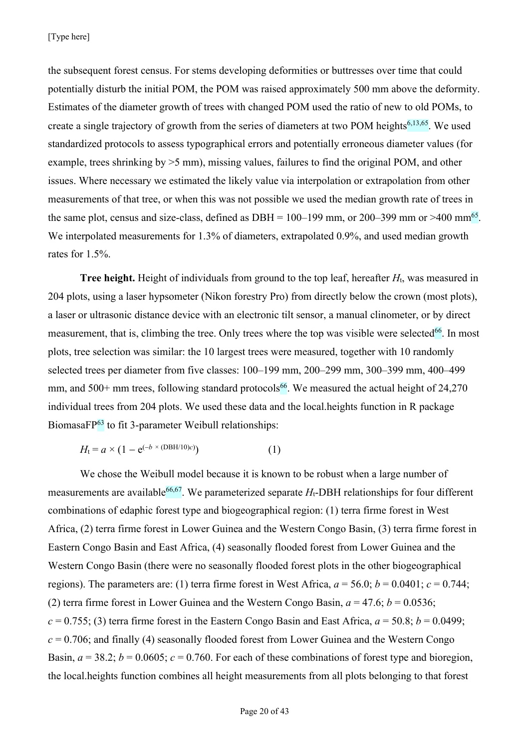the subsequent forest census. For stems developing deformities or buttresses over time that could potentially disturb the initial POM, the POM was raised approximately 500 mm above the deformity. Estimates of the diameter growth of trees with changed POM used the ratio of new to old POMs, to create a single trajectory of growth from the series of diameters at two POM heights<sup>6,13,65</sup>. We used standardized protocols to assess typographical errors and potentially erroneous diameter values (for example, trees shrinking by >5 mm), missing values, failures to find the original POM, and other issues. Where necessary we estimated the likely value via interpolation or extrapolation from other measurements of that tree, or when this was not possible we used the median growth rate of trees in the same plot, census and size-class, defined as DBH =  $100-199$  mm, or 200–399 mm or >400 mm<sup>65</sup>. We interpolated measurements for 1.3% of diameters, extrapolated 0.9%, and used median growth rates for 1.5%.

**Tree height.** Height of individuals from ground to the top leaf, hereafter *H*t, was measured in 204 plots, using a laser hypsometer (Nikon forestry Pro) from directly below the crown (most plots), a laser or ultrasonic distance device with an electronic tilt sensor, a manual clinometer, or by direct measurement, that is, climbing the tree. Only trees where the top was visible were selected<sup>66</sup>. In most plots, tree selection was similar: the 10 largest trees were measured, together with 10 randomly selected trees per diameter from five classes: 100–199 mm, 200–299 mm, 300–399 mm, 400–499 mm, and 500+ mm trees, following standard protocols<sup>66</sup>. We measured the actual height of 24,270 individual trees from 204 plots. We used these data and the local.heights function in R package BiomasaFP<sup>63</sup> to fit 3-parameter Weibull relationships:

$$
H_{t} = a \times (1 - e^{(-b \times (DBH/10)c)})
$$
 (1)

We chose the Weibull model because it is known to be robust when a large number of measurements are available<sup>66,67</sup>. We parameterized separate  $H_t$ -DBH relationships for four different combinations of edaphic forest type and biogeographical region: (1) terra firme forest in West Africa, (2) terra firme forest in Lower Guinea and the Western Congo Basin, (3) terra firme forest in Eastern Congo Basin and East Africa, (4) seasonally flooded forest from Lower Guinea and the Western Congo Basin (there were no seasonally flooded forest plots in the other biogeographical regions). The parameters are: (1) terra firme forest in West Africa,  $a = 56.0$ ;  $b = 0.0401$ ;  $c = 0.744$ ; (2) terra firme forest in Lower Guinea and the Western Congo Basin,  $a = 47.6$ ;  $b = 0.0536$ ;  $c = 0.755$ ; (3) terra firme forest in the Eastern Congo Basin and East Africa,  $a = 50.8$ ;  $b = 0.0499$ ;  $c = 0.706$ ; and finally (4) seasonally flooded forest from Lower Guinea and the Western Congo Basin,  $a = 38.2$ ;  $b = 0.0605$ ;  $c = 0.760$ . For each of these combinations of forest type and bioregion, the local.heights function combines all height measurements from all plots belonging to that forest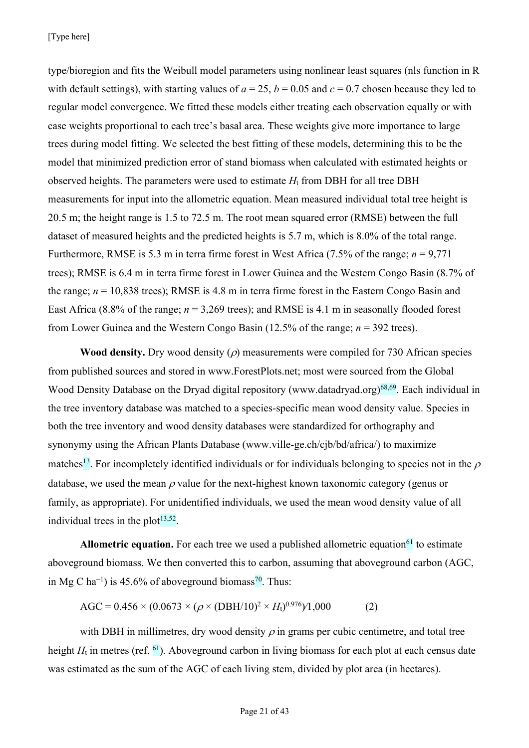[Type here]

type/bioregion and fits the Weibull model parameters using nonlinear least squares (nls function in R with default settings), with starting values of  $a = 25$ ,  $b = 0.05$  and  $c = 0.7$  chosen because they led to regular model convergence. We fitted these models either treating each observation equally or with case weights proportional to each tree's basal area. These weights give more importance to large trees during model fitting. We selected the best fitting of these models, determining this to be the model that minimized prediction error of stand biomass when calculated with estimated heights or observed heights. The parameters were used to estimate  $H_t$  from DBH for all tree DBH measurements for input into the allometric equation. Mean measured individual total tree height is 20.5 m; the height range is 1.5 to 72.5 m. The root mean squared error (RMSE) between the full dataset of measured heights and the predicted heights is 5.7 m, which is 8.0% of the total range. Furthermore, RMSE is 5.3 m in terra firme forest in West Africa (7.5% of the range; *n* = 9,771 trees); RMSE is 6.4 m in terra firme forest in Lower Guinea and the Western Congo Basin (8.7% of the range;  $n = 10,838$  trees); RMSE is 4.8 m in terra firme forest in the Eastern Congo Basin and East Africa (8.8% of the range;  $n = 3,269$  trees); and RMSE is 4.1 m in seasonally flooded forest from Lower Guinea and the Western Congo Basin (12.5% of the range; *n* = 392 trees).

**Wood density.** Dry wood density  $(\rho)$  measurements were compiled for 730 African species from published sources and stored in www.ForestPlots.net; most were sourced from the Global Wood Density Database on the Dryad digital repository (www.datadryad.org)<sup>68,69</sup>. Each individual in the tree inventory database was matched to a species-specific mean wood density value. Species in both the tree inventory and wood density databases were standardized for orthography and synonymy using the African Plants Database (www.ville-ge.ch/cjb/bd/africa/) to maximize matches<sup>13</sup>. For incompletely identified individuals or for individuals belonging to species not in the  $\rho$ database, we used the mean  $\rho$  value for the next-highest known taxonomic category (genus or family, as appropriate). For unidentified individuals, we used the mean wood density value of all individual trees in the plot $13,52$ .

Allometric equation. For each tree we used a published allometric equation<sup>61</sup> to estimate aboveground biomass. We then converted this to carbon, assuming that aboveground carbon (AGC, in Mg C ha<sup>-1</sup>) is 45.6% of aboveground biomass<sup>70</sup>. Thus:

$$
AGC = 0.456 \times (0.0673 \times (\rho \times (DBH/10)^2 \times H_1)^{0.976})1,000
$$
 (2)

with DBH in millimetres, dry wood density  $\rho$  in grams per cubic centimetre, and total tree height  $H_t$  in metres (ref. <sup>61</sup>). Aboveground carbon in living biomass for each plot at each census date was estimated as the sum of the AGC of each living stem, divided by plot area (in hectares).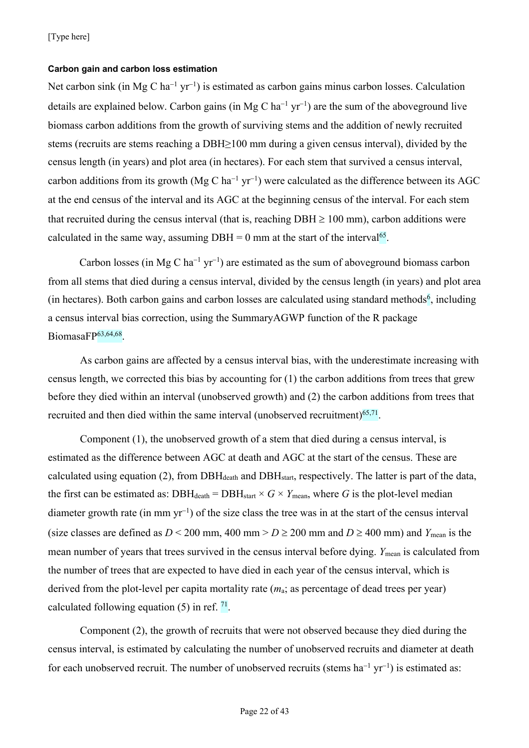#### **Carbon gain and carbon loss estimation**

Net carbon sink (in Mg C ha<sup>-1</sup> yr<sup>-1</sup>) is estimated as carbon gains minus carbon losses. Calculation details are explained below. Carbon gains (in Mg C ha<sup>-1</sup> yr<sup>-1</sup>) are the sum of the aboveground live biomass carbon additions from the growth of surviving stems and the addition of newly recruited stems (recruits are stems reaching a DBH≥100 mm during a given census interval), divided by the census length (in years) and plot area (in hectares). For each stem that survived a census interval, carbon additions from its growth (Mg C ha<sup>-1</sup> yr<sup>-1</sup>) were calculated as the difference between its AGC at the end census of the interval and its AGC at the beginning census of the interval. For each stem that recruited during the census interval (that is, reaching  $DBH \ge 100$  mm), carbon additions were calculated in the same way, assuming  $DBH = 0$  mm at the start of the interval<sup>65</sup>.

Carbon losses (in Mg C ha<sup>-1</sup> yr<sup>-1</sup>) are estimated as the sum of aboveground biomass carbon from all stems that died during a census interval, divided by the census length (in years) and plot area (in hectares). Both carbon gains and carbon losses are calculated using standard methods<sup>6</sup>, including a census interval bias correction, using the SummaryAGWP function of the R package BiomasaFP<sup>63,64,68</sup>.

As carbon gains are affected by a census interval bias, with the underestimate increasing with census length, we corrected this bias by accounting for (1) the carbon additions from trees that grew before they died within an interval (unobserved growth) and (2) the carbon additions from trees that recruited and then died within the same interval (unobserved recruitment) $65,71$ .

Component (1), the unobserved growth of a stem that died during a census interval, is estimated as the difference between AGC at death and AGC at the start of the census. These are calculated using equation (2), from  $DBH_{death}$  and  $DBH_{start}$ , respectively. The latter is part of the data, the first can be estimated as:  $DBH_{death} = DBH_{start} \times G \times Y_{mean}$ , where *G* is the plot-level median diameter growth rate (in mm  $yr^{-1}$ ) of the size class the tree was in at the start of the census interval (size classes are defined as  $D < 200$  mm, 400 mm  $D \ge 200$  mm and  $D \ge 400$  mm) and  $Y_{\text{mean}}$  is the mean number of years that trees survived in the census interval before dying. *Y*<sub>mean</sub> is calculated from the number of trees that are expected to have died in each year of the census interval, which is derived from the plot-level per capita mortality rate (*m*a; as percentage of dead trees per year) calculated following equation  $(5)$  in ref.  $^{71}$ .

Component (2), the growth of recruits that were not observed because they died during the census interval, is estimated by calculating the number of unobserved recruits and diameter at death for each unobserved recruit. The number of unobserved recruits (stems  $ha^{-1} yr^{-1}$ ) is estimated as: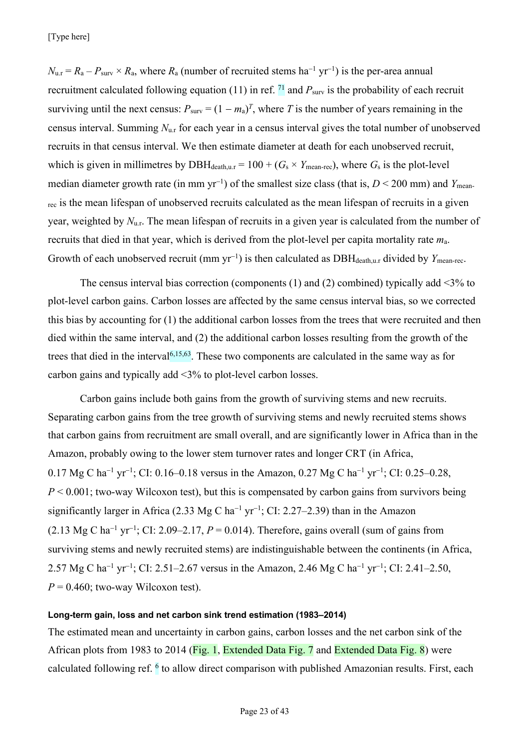$N_{\text{u.r}} = R_{\text{a}} - P_{\text{surv}} \times R_{\text{a}}$ , where  $R_{\text{a}}$  (number of recruited stems ha<sup>-1</sup> yr<sup>-1</sup>) is the per-area annual recruitment calculated following equation (11) in ref.  $\frac{71}{1}$  and  $P_{\text{surv}}$  is the probability of each recruit surviving until the next census:  $P_{\text{surv}} = (1 - m_a)^T$ , where T is the number of years remaining in the census interval. Summing *N*u.r for each year in a census interval gives the total number of unobserved recruits in that census interval. We then estimate diameter at death for each unobserved recruit, which is given in millimetres by DBH<sub>death,u.r</sub> =  $100 + (G_s \times Y_{\text{mean-rec}})$ , where  $G_s$  is the plot-level median diameter growth rate (in mm yr<sup>-1</sup>) of the smallest size class (that is,  $D < 200$  mm) and *Y*<sub>mean-</sub> rec is the mean lifespan of unobserved recruits calculated as the mean lifespan of recruits in a given year, weighted by  $N_{u,r}$ . The mean lifespan of recruits in a given year is calculated from the number of recruits that died in that year, which is derived from the plot-level per capita mortality rate *m*a. Growth of each unobserved recruit (mm yr<sup>-1</sup>) is then calculated as DBH<sub>death,u.r</sub> divided by *Y*<sub>mean-rec</sub>.

The census interval bias correction (components  $(1)$  and  $(2)$  combined) typically add <3% to plot-level carbon gains. Carbon losses are affected by the same census interval bias, so we corrected this bias by accounting for (1) the additional carbon losses from the trees that were recruited and then died within the same interval, and (2) the additional carbon losses resulting from the growth of the trees that died in the interval<sup> $6,15,63$ </sup>. These two components are calculated in the same way as for carbon gains and typically add <3% to plot-level carbon losses.

Carbon gains include both gains from the growth of surviving stems and new recruits. Separating carbon gains from the tree growth of surviving stems and newly recruited stems shows that carbon gains from recruitment are small overall, and are significantly lower in Africa than in the Amazon, probably owing to the lower stem turnover rates and longer CRT (in Africa, 0.17 Mg C ha<sup>-1</sup> yr<sup>-1</sup>; CI: 0.16–0.18 versus in the Amazon, 0.27 Mg C ha<sup>-1</sup> yr<sup>-1</sup>; CI: 0.25–0.28,  $P \leq 0.001$ ; two-way Wilcoxon test), but this is compensated by carbon gains from survivors being significantly larger in Africa (2.33 Mg C ha<sup>-1</sup> yr<sup>-1</sup>; CI: 2.27–2.39) than in the Amazon  $(2.13 \text{ Mg C ha}^{-1} \text{ yr}^{-1}$ ; CI: 2.09–2.17,  $P = 0.014$ ). Therefore, gains overall (sum of gains from surviving stems and newly recruited stems) are indistinguishable between the continents (in Africa, 2.57 Mg C ha<sup>-1</sup> yr<sup>-1</sup>; CI: 2.51–2.67 versus in the Amazon, 2.46 Mg C ha<sup>-1</sup> yr<sup>-1</sup>; CI: 2.41–2.50,  $P = 0.460$ ; two-way Wilcoxon test).

# **Long-term gain, loss and net carbon sink trend estimation (1983–2014)**

The estimated mean and uncertainty in carbon gains, carbon losses and the net carbon sink of the African plots from 1983 to 2014 (Fig. 1, Extended Data Fig. 7 and Extended Data Fig. 8) were calculated following ref. <sup>6</sup> to allow direct comparison with published Amazonian results. First, each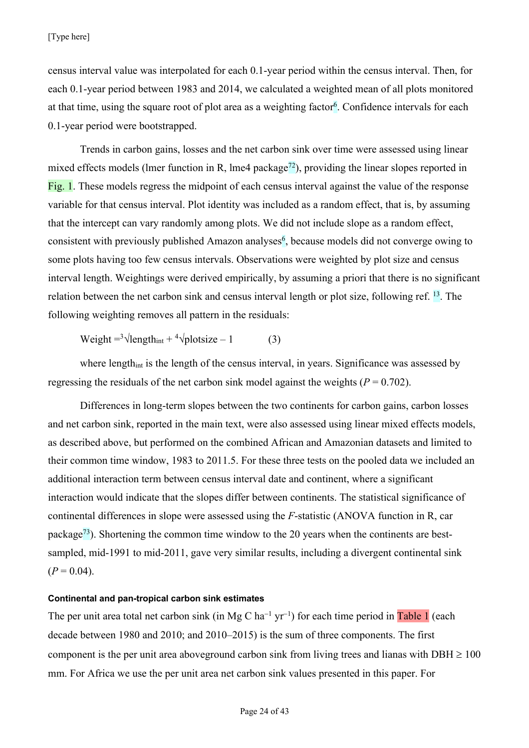census interval value was interpolated for each 0.1-year period within the census interval. Then, for each 0.1-year period between 1983 and 2014, we calculated a weighted mean of all plots monitored at that time, using the square root of plot area as a weighting factor<sup>6</sup>. Confidence intervals for each 0.1-year period were bootstrapped.

Trends in carbon gains, losses and the net carbon sink over time were assessed using linear mixed effects models (lmer function in R, lme4 package<sup>72</sup>), providing the linear slopes reported in Fig. 1. These models regress the midpoint of each census interval against the value of the response variable for that census interval. Plot identity was included as a random effect, that is, by assuming that the intercept can vary randomly among plots. We did not include slope as a random effect, consistent with previously published Amazon analyses<sup>6</sup>, because models did not converge owing to some plots having too few census intervals. Observations were weighted by plot size and census interval length. Weightings were derived empirically, by assuming a priori that there is no significant relation between the net carbon sink and census interval length or plot size, following ref. <sup>13</sup>. The following weighting removes all pattern in the residuals:

Weight  $=3\sqrt{\text{length}_{\text{int}} + 4\sqrt{\text{plots}}}$  ize  $-1$  (3)

where length<sub>int</sub> is the length of the census interval, in years. Significance was assessed by regressing the residuals of the net carbon sink model against the weights  $(P = 0.702)$ .

Differences in long-term slopes between the two continents for carbon gains, carbon losses and net carbon sink, reported in the main text, were also assessed using linear mixed effects models, as described above, but performed on the combined African and Amazonian datasets and limited to their common time window, 1983 to 2011.5. For these three tests on the pooled data we included an additional interaction term between census interval date and continent, where a significant interaction would indicate that the slopes differ between continents. The statistical significance of continental differences in slope were assessed using the *F*-statistic (ANOVA function in R, car package<sup>73</sup>). Shortening the common time window to the 20 years when the continents are bestsampled, mid-1991 to mid-2011, gave very similar results, including a divergent continental sink  $(P = 0.04)$ .

#### **Continental and pan-tropical carbon sink estimates**

The per unit area total net carbon sink (in Mg C ha<sup>-1</sup> yr<sup>-1</sup>) for each time period in Table 1 (each decade between 1980 and 2010; and 2010–2015) is the sum of three components. The first component is the per unit area aboveground carbon sink from living trees and lianas with  $DBH \ge 100$ mm. For Africa we use the per unit area net carbon sink values presented in this paper. For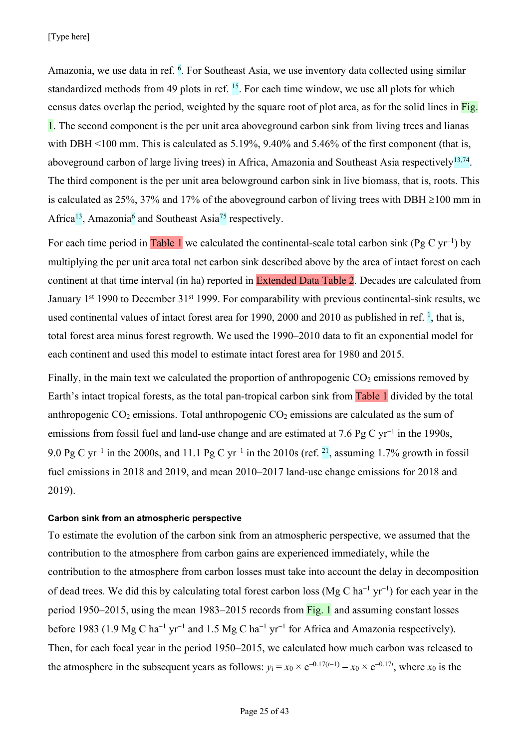Amazonia, we use data in ref. <sup>6</sup>. For Southeast Asia, we use inventory data collected using similar standardized methods from 49 plots in ref.  $^{15}$ . For each time window, we use all plots for which census dates overlap the period, weighted by the square root of plot area, as for the solid lines in Fig. 1. The second component is the per unit area aboveground carbon sink from living trees and lianas with DBH <100 mm. This is calculated as 5.19%, 9.40% and 5.46% of the first component (that is, aboveground carbon of large living trees) in Africa, Amazonia and Southeast Asia respectively<sup>13,74</sup>. The third component is the per unit area belowground carbon sink in live biomass, that is, roots. This is calculated as 25%, 37% and 17% of the aboveground carbon of living trees with DBH  $\geq$ 100 mm in Africa<sup>13</sup>, Amazonia<sup>6</sup> and Southeast Asia<sup>75</sup> respectively.

For each time period in Table 1 we calculated the continental-scale total carbon sink (Pg C yr<sup>-1</sup>) by multiplying the per unit area total net carbon sink described above by the area of intact forest on each continent at that time interval (in ha) reported in Extended Data Table 2. Decades are calculated from January 1<sup>st</sup> 1990 to December 31<sup>st</sup> 1999. For comparability with previous continental-sink results, we used continental values of intact forest area for 1990, 2000 and 2010 as published in ref. <sup>1</sup>, that is, total forest area minus forest regrowth. We used the 1990–2010 data to fit an exponential model for each continent and used this model to estimate intact forest area for 1980 and 2015.

Finally, in the main text we calculated the proportion of anthropogenic  $CO<sub>2</sub>$  emissions removed by Earth's intact tropical forests, as the total pan-tropical carbon sink from Table 1 divided by the total anthropogenic  $CO_2$  emissions. Total anthropogenic  $CO_2$  emissions are calculated as the sum of emissions from fossil fuel and land-use change and are estimated at 7.6 Pg C  $yr^{-1}$  in the 1990s, 9.0 Pg C yr<sup>-1</sup> in the 2000s, and 11.1 Pg C yr<sup>-1</sup> in the 2010s (ref. <sup>21</sup>, assuming 1.7% growth in fossil fuel emissions in 2018 and 2019, and mean 2010–2017 land-use change emissions for 2018 and 2019).

#### **Carbon sink from an atmospheric perspective**

To estimate the evolution of the carbon sink from an atmospheric perspective, we assumed that the contribution to the atmosphere from carbon gains are experienced immediately, while the contribution to the atmosphere from carbon losses must take into account the delay in decomposition of dead trees. We did this by calculating total forest carbon loss (Mg C ha<sup>-1</sup> yr<sup>-1</sup>) for each year in the period 1950–2015, using the mean 1983–2015 records from Fig. 1 and assuming constant losses before 1983 (1.9 Mg C ha<sup>-1</sup> yr<sup>-1</sup> and 1.5 Mg C ha<sup>-1</sup> yr<sup>-1</sup> for Africa and Amazonia respectively). Then, for each focal year in the period 1950–2015, we calculated how much carbon was released to the atmosphere in the subsequent years as follows:  $y_i = x_0 \times e^{-0.17(i-1)} - x_0 \times e^{-0.17i}$ , where  $x_0$  is the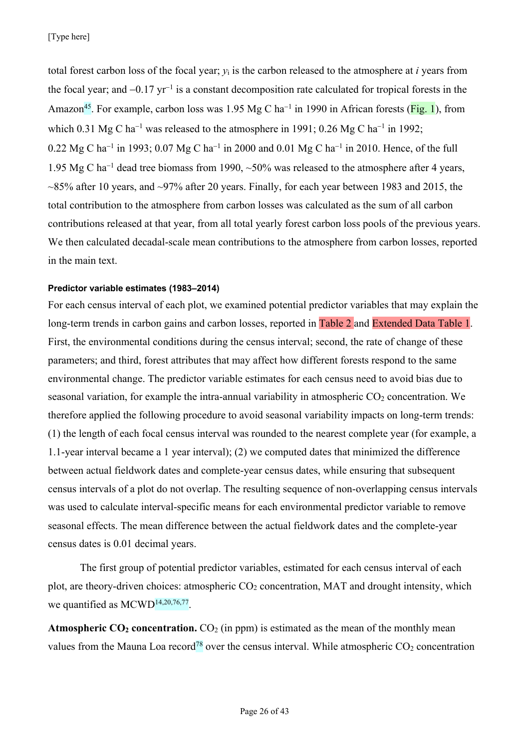total forest carbon loss of the focal year; *y*<sup>i</sup> is the carbon released to the atmosphere at *i* years from the focal year; and  $-0.17$  yr<sup>-1</sup> is a constant decomposition rate calculated for tropical forests in the Amazon<sup>45</sup>. For example, carbon loss was 1.95 Mg C ha<sup>-1</sup> in 1990 in African forests (Fig. 1), from which 0.31 Mg C ha<sup>-1</sup> was released to the atmosphere in 1991; 0.26 Mg C ha<sup>-1</sup> in 1992;  $0.22 \text{ Mg C} \text{ ha}^{-1}$  in 1993; 0.07 Mg C ha<sup>-1</sup> in 2000 and 0.01 Mg C ha<sup>-1</sup> in 2010. Hence, of the full 1.95 Mg C ha<sup>-1</sup> dead tree biomass from 1990,  $\sim$ 50% was released to the atmosphere after 4 years,  $\sim$ 85% after 10 years, and  $\sim$ 97% after 20 years. Finally, for each year between 1983 and 2015, the total contribution to the atmosphere from carbon losses was calculated as the sum of all carbon contributions released at that year, from all total yearly forest carbon loss pools of the previous years. We then calculated decadal-scale mean contributions to the atmosphere from carbon losses, reported in the main text.

# **Predictor variable estimates (1983–2014)**

For each census interval of each plot, we examined potential predictor variables that may explain the long-term trends in carbon gains and carbon losses, reported in Table 2 and Extended Data Table 1. First, the environmental conditions during the census interval; second, the rate of change of these parameters; and third, forest attributes that may affect how different forests respond to the same environmental change. The predictor variable estimates for each census need to avoid bias due to seasonal variation, for example the intra-annual variability in atmospheric  $CO<sub>2</sub>$  concentration. We therefore applied the following procedure to avoid seasonal variability impacts on long-term trends: (1) the length of each focal census interval was rounded to the nearest complete year (for example, a 1.1-year interval became a 1 year interval); (2) we computed dates that minimized the difference between actual fieldwork dates and complete-year census dates, while ensuring that subsequent census intervals of a plot do not overlap. The resulting sequence of non-overlapping census intervals was used to calculate interval-specific means for each environmental predictor variable to remove seasonal effects. The mean difference between the actual fieldwork dates and the complete-year census dates is 0.01 decimal years.

The first group of potential predictor variables, estimated for each census interval of each plot, are theory-driven choices: atmospheric  $CO<sub>2</sub>$  concentration, MAT and drought intensity, which we quantified as MCWD<sup>14,20,76,77</sup>.

**Atmospheric CO<sub>2</sub> concentration.** CO<sub>2</sub> (in ppm) is estimated as the mean of the monthly mean values from the Mauna Loa record<sup>78</sup> over the census interval. While atmospheric  $CO<sub>2</sub>$  concentration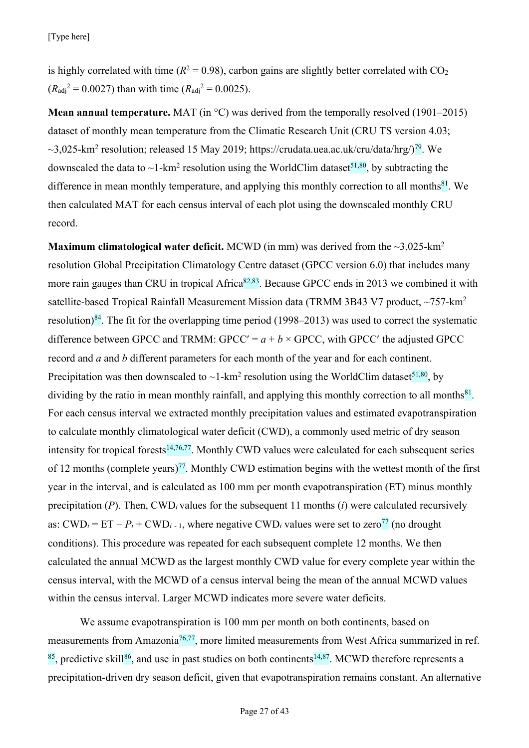[Type here]

is highly correlated with time ( $R^2 = 0.98$ ), carbon gains are slightly better correlated with CO<sub>2</sub>  $(R_{\text{adi}}^2 = 0.0027)$  than with time  $(R_{\text{adi}}^2 = 0.0025)$ .

**Mean annual temperature.** MAT (in °C) was derived from the temporally resolved (1901–2015) dataset of monthly mean temperature from the Climatic Research Unit (CRU TS version 4.03;  $\sim$ 3,025-km<sup>2</sup> resolution; released 15 May 2019; https://crudata.uea.ac.uk/cru/data/hrg/ $\sqrt{19}$ . We downscaled the data to  $\sim$ 1-km<sup>2</sup> resolution using the WorldClim dataset<sup>51,80</sup>, by subtracting the difference in mean monthly temperature, and applying this monthly correction to all months $81$ . We then calculated MAT for each census interval of each plot using the downscaled monthly CRU record.

**Maximum climatological water deficit.** MCWD (in mm) was derived from the  $\sim$ 3,025-km<sup>2</sup> resolution Global Precipitation Climatology Centre dataset (GPCC version 6.0) that includes many more rain gauges than CRU in tropical Africa<sup>82,83</sup>. Because GPCC ends in 2013 we combined it with satellite-based Tropical Rainfall Measurement Mission data (TRMM 3B43 V7 product, ~757-km<sup>2</sup> resolution)<sup>84</sup>. The fit for the overlapping time period (1998–2013) was used to correct the systematic difference between GPCC and TRMM: GPCC' =  $a + b \times$  GPCC, with GPCC' the adjusted GPCC record and *a* and *b* different parameters for each month of the year and for each continent. Precipitation was then downscaled to  $\sim$ 1-km<sup>2</sup> resolution using the WorldClim dataset<sup>51,80</sup>, by dividing by the ratio in mean monthly rainfall, and applying this monthly correction to all months $81$ . For each census interval we extracted monthly precipitation values and estimated evapotranspiration to calculate monthly climatological water deficit (CWD), a commonly used metric of dry season intensity for tropical forests<sup>14,76,77</sup>. Monthly CWD values were calculated for each subsequent series of 12 months (complete years)<sup>77</sup>. Monthly CWD estimation begins with the wettest month of the first year in the interval, and is calculated as 100 mm per month evapotranspiration (ET) minus monthly precipitation (*P*). Then, CWD*<sup>i</sup>* values for the subsequent 11 months (*i*) were calculated recursively as:  $\text{CWD}_i = \text{ET} - P_i + \text{CWD}_{i-1}$ , where negative  $\text{CWD}_i$  values were set to zero<sup>77</sup> (no drought conditions). This procedure was repeated for each subsequent complete 12 months. We then calculated the annual MCWD as the largest monthly CWD value for every complete year within the census interval, with the MCWD of a census interval being the mean of the annual MCWD values within the census interval. Larger MCWD indicates more severe water deficits.

We assume evapotranspiration is 100 mm per month on both continents, based on measurements from Amazonia<sup>76,77</sup>, more limited measurements from West Africa summarized in ref.  $85$ , predictive skill $86$ , and use in past studies on both continents<sup>14,87</sup>. MCWD therefore represents a precipitation-driven dry season deficit, given that evapotranspiration remains constant. An alternative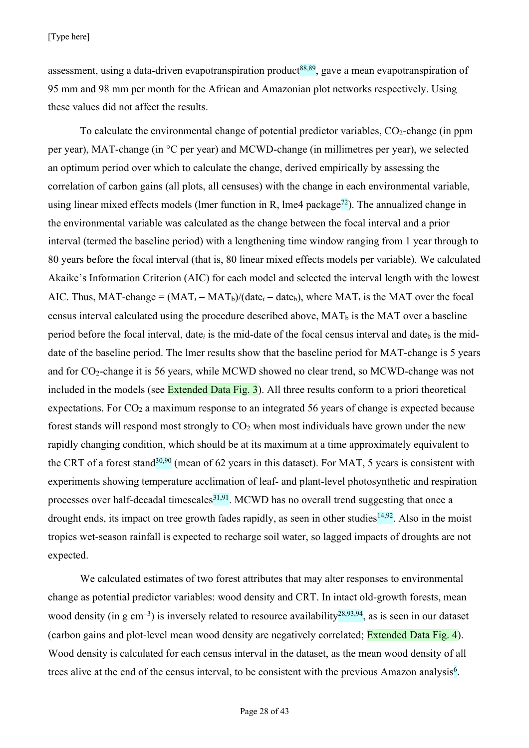assessment, using a data-driven evapotranspiration product<sup>88,89</sup>, gave a mean evapotranspiration of 95 mm and 98 mm per month for the African and Amazonian plot networks respectively. Using these values did not affect the results.

To calculate the environmental change of potential predictor variables,  $CO<sub>2</sub>$ -change (in ppm per year), MAT-change (in °C per year) and MCWD-change (in millimetres per year), we selected an optimum period over which to calculate the change, derived empirically by assessing the correlation of carbon gains (all plots, all censuses) with the change in each environmental variable, using linear mixed effects models (lmer function in R, lme4 package<sup>72</sup>). The annualized change in the environmental variable was calculated as the change between the focal interval and a prior interval (termed the baseline period) with a lengthening time window ranging from 1 year through to 80 years before the focal interval (that is, 80 linear mixed effects models per variable). We calculated Akaike's Information Criterion (AIC) for each model and selected the interval length with the lowest AIC. Thus, MAT-change =  $(MAT_i - MAT_b)/(date_i - date_b)$ , where  $MAT_i$  is the MAT over the focal census interval calculated using the procedure described above,  $MAT_b$  is the MAT over a baseline period before the focal interval, date<sub>i</sub> is the mid-date of the focal census interval and date<sub>b</sub> is the middate of the baseline period. The lmer results show that the baseline period for MAT-change is 5 years and for CO2-change it is 56 years, while MCWD showed no clear trend, so MCWD-change was not included in the models (see Extended Data Fig. 3). All three results conform to a priori theoretical expectations. For CO<sub>2</sub> a maximum response to an integrated 56 years of change is expected because forest stands will respond most strongly to  $CO<sub>2</sub>$  when most individuals have grown under the new rapidly changing condition, which should be at its maximum at a time approximately equivalent to the CRT of a forest stand<sup>30,90</sup> (mean of 62 years in this dataset). For MAT, 5 years is consistent with experiments showing temperature acclimation of leaf- and plant-level photosynthetic and respiration processes over half-decadal timescales $31,91$ . MCWD has no overall trend suggesting that once a drought ends, its impact on tree growth fades rapidly, as seen in other studies<sup>14,92</sup>. Also in the moist tropics wet-season rainfall is expected to recharge soil water, so lagged impacts of droughts are not expected.

We calculated estimates of two forest attributes that may alter responses to environmental change as potential predictor variables: wood density and CRT. In intact old-growth forests, mean wood density (in g cm<sup>-3</sup>) is inversely related to resource availability<sup>28,93,94</sup>, as is seen in our dataset (carbon gains and plot-level mean wood density are negatively correlated; Extended Data Fig. 4). Wood density is calculated for each census interval in the dataset, as the mean wood density of all trees alive at the end of the census interval, to be consistent with the previous Amazon analysis<sup>6</sup>.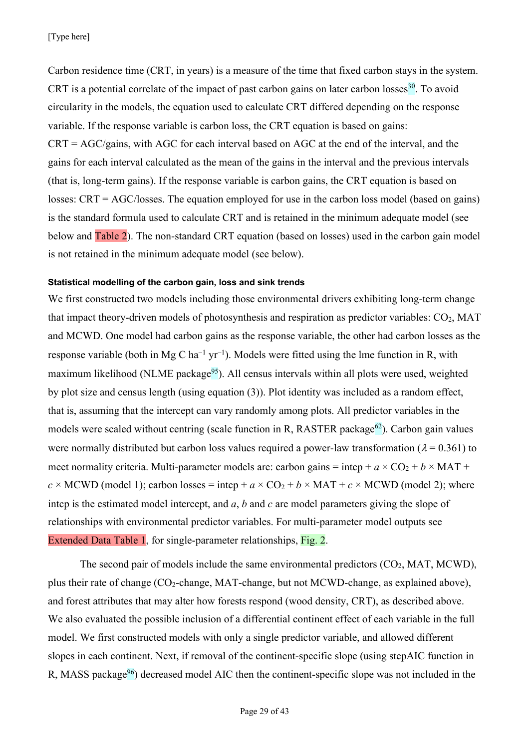Carbon residence time (CRT, in years) is a measure of the time that fixed carbon stays in the system. CRT is a potential correlate of the impact of past carbon gains on later carbon losses  $30$ . To avoid circularity in the models, the equation used to calculate CRT differed depending on the response variable. If the response variable is carbon loss, the CRT equation is based on gains:  $CRT = AGC/gains$ , with AGC for each interval based on AGC at the end of the interval, and the gains for each interval calculated as the mean of the gains in the interval and the previous intervals (that is, long-term gains). If the response variable is carbon gains, the CRT equation is based on losses: CRT = AGC/losses. The equation employed for use in the carbon loss model (based on gains) is the standard formula used to calculate CRT and is retained in the minimum adequate model (see below and Table 2). The non-standard CRT equation (based on losses) used in the carbon gain model is not retained in the minimum adequate model (see below).

#### **Statistical modelling of the carbon gain, loss and sink trends**

We first constructed two models including those environmental drivers exhibiting long-term change that impact theory-driven models of photosynthesis and respiration as predictor variables: CO<sub>2</sub>, MAT and MCWD. One model had carbon gains as the response variable, the other had carbon losses as the response variable (both in Mg C ha<sup>-1</sup> yr<sup>-1</sup>). Models were fitted using the lme function in R, with maximum likelihood (NLME package $95$ ). All census intervals within all plots were used, weighted by plot size and census length (using equation (3)). Plot identity was included as a random effect, that is, assuming that the intercept can vary randomly among plots. All predictor variables in the models were scaled without centring (scale function in R, RASTER package<sup>62</sup>). Carbon gain values were normally distributed but carbon loss values required a power-law transformation ( $\lambda = 0.361$ ) to meet normality criteria. Multi-parameter models are: carbon gains = intcp +  $a \times CO<sub>2</sub> + b \times MAT$  +  $c \times \text{MCWD}$  (model 1); carbon losses = intcp +  $a \times \text{CO}_2 + b \times \text{MAT} + c \times \text{MCWD}$  (model 2); where intcp is the estimated model intercept, and *a*, *b* and *c* are model parameters giving the slope of relationships with environmental predictor variables. For multi-parameter model outputs see Extended Data Table 1, for single-parameter relationships, Fig. 2.

The second pair of models include the same environmental predictors  $(CO_2, MAT, MCWD)$ , plus their rate of change (CO2-change, MAT-change, but not MCWD-change, as explained above), and forest attributes that may alter how forests respond (wood density, CRT), as described above. We also evaluated the possible inclusion of a differential continent effect of each variable in the full model. We first constructed models with only a single predictor variable, and allowed different slopes in each continent. Next, if removal of the continent-specific slope (using stepAIC function in R, MASS package<sup>96</sup>) decreased model AIC then the continent-specific slope was not included in the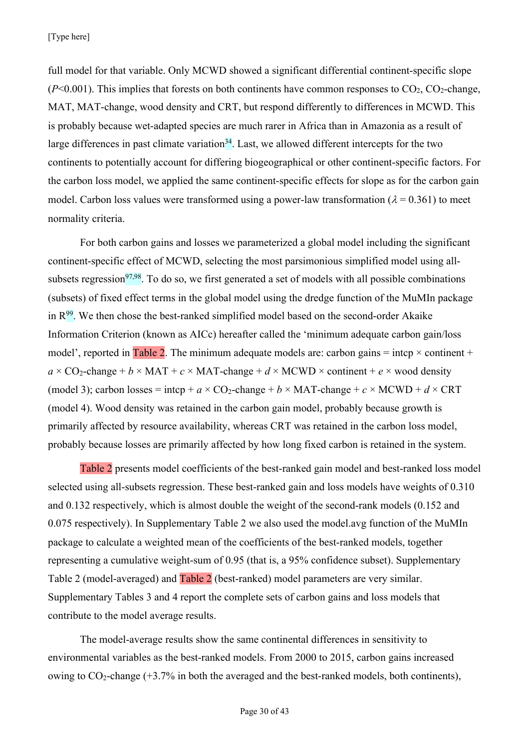full model for that variable. Only MCWD showed a significant differential continent-specific slope  $(P<0.001)$ . This implies that forests on both continents have common responses to  $CO<sub>2</sub>$ ,  $CO<sub>2</sub>$ -change, MAT, MAT-change, wood density and CRT, but respond differently to differences in MCWD. This is probably because wet-adapted species are much rarer in Africa than in Amazonia as a result of large differences in past climate variation<sup>34</sup>. Last, we allowed different intercepts for the two continents to potentially account for differing biogeographical or other continent-specific factors. For the carbon loss model, we applied the same continent-specific effects for slope as for the carbon gain model. Carbon loss values were transformed using a power-law transformation ( $\lambda = 0.361$ ) to meet normality criteria.

For both carbon gains and losses we parameterized a global model including the significant continent-specific effect of MCWD, selecting the most parsimonious simplified model using allsubsets regression<sup>97,98</sup>. To do so, we first generated a set of models with all possible combinations (subsets) of fixed effect terms in the global model using the dredge function of the MuMIn package in  $R^{99}$ . We then chose the best-ranked simplified model based on the second-order Akaike Information Criterion (known as AICc) hereafter called the 'minimum adequate carbon gain/loss model', reported in Table 2. The minimum adequate models are: carbon gains = intcp  $\times$  continent +  $a \times CO_2$ -change + *b* × MAT + *c* × MAT-change + *d* × MCWD × continent + *e* × wood density (model 3); carbon losses = intcp +  $a \times CO_2$ -change +  $b \times MAT$ -change +  $c \times MCWD + d \times CRT$ (model 4). Wood density was retained in the carbon gain model, probably because growth is primarily affected by resource availability, whereas CRT was retained in the carbon loss model, probably because losses are primarily affected by how long fixed carbon is retained in the system.

Table 2 presents model coefficients of the best-ranked gain model and best-ranked loss model selected using all-subsets regression. These best-ranked gain and loss models have weights of 0.310 and 0.132 respectively, which is almost double the weight of the second-rank models (0.152 and 0.075 respectively). In Supplementary Table 2 we also used the model.avg function of the MuMIn package to calculate a weighted mean of the coefficients of the best-ranked models, together representing a cumulative weight-sum of 0.95 (that is, a 95% confidence subset). Supplementary Table 2 (model-averaged) and Table 2 (best-ranked) model parameters are very similar. Supplementary Tables 3 and 4 report the complete sets of carbon gains and loss models that contribute to the model average results.

The model-average results show the same continental differences in sensitivity to environmental variables as the best-ranked models. From 2000 to 2015, carbon gains increased owing to  $CO_2$ -change (+3.7% in both the averaged and the best-ranked models, both continents),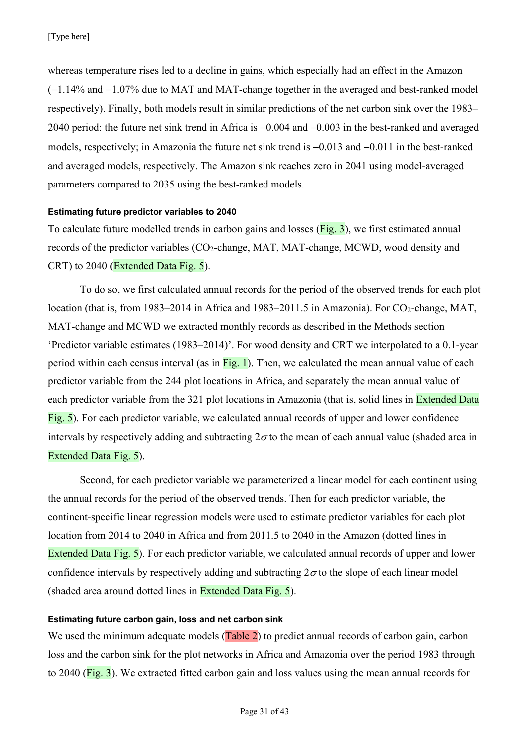whereas temperature rises led to a decline in gains, which especially had an effect in the Amazon (-1.14% and -1.07% due to MAT and MAT-change together in the averaged and best-ranked model respectively). Finally, both models result in similar predictions of the net carbon sink over the 1983– 2040 period: the future net sink trend in Africa is -0.004 and -0.003 in the best-ranked and averaged models, respectively; in Amazonia the future net sink trend is  $-0.013$  and  $-0.011$  in the best-ranked and averaged models, respectively. The Amazon sink reaches zero in 2041 using model-averaged parameters compared to 2035 using the best-ranked models.

#### **Estimating future predictor variables to 2040**

To calculate future modelled trends in carbon gains and losses (Fig. 3), we first estimated annual records of the predictor variables (CO<sub>2</sub>-change, MAT, MAT-change, MCWD, wood density and CRT) to 2040 (Extended Data Fig. 5).

To do so, we first calculated annual records for the period of the observed trends for each plot location (that is, from 1983–2014 in Africa and 1983–2011.5 in Amazonia). For  $CO_2$ -change, MAT, MAT-change and MCWD we extracted monthly records as described in the Methods section 'Predictor variable estimates (1983–2014)'. For wood density and CRT we interpolated to a 0.1-year period within each census interval (as in  $Fig. 1$ ). Then, we calculated the mean annual value of each predictor variable from the 244 plot locations in Africa, and separately the mean annual value of each predictor variable from the 321 plot locations in Amazonia (that is, solid lines in Extended Data Fig. 5). For each predictor variable, we calculated annual records of upper and lower confidence intervals by respectively adding and subtracting  $2\sigma$  to the mean of each annual value (shaded area in Extended Data Fig. 5).

Second, for each predictor variable we parameterized a linear model for each continent using the annual records for the period of the observed trends. Then for each predictor variable, the continent-specific linear regression models were used to estimate predictor variables for each plot location from 2014 to 2040 in Africa and from 2011.5 to 2040 in the Amazon (dotted lines in Extended Data Fig. 5). For each predictor variable, we calculated annual records of upper and lower confidence intervals by respectively adding and subtracting  $2\sigma$  to the slope of each linear model (shaded area around dotted lines in Extended Data Fig. 5).

# **Estimating future carbon gain, loss and net carbon sink**

We used the minimum adequate models (Table 2) to predict annual records of carbon gain, carbon loss and the carbon sink for the plot networks in Africa and Amazonia over the period 1983 through to 2040 (Fig. 3). We extracted fitted carbon gain and loss values using the mean annual records for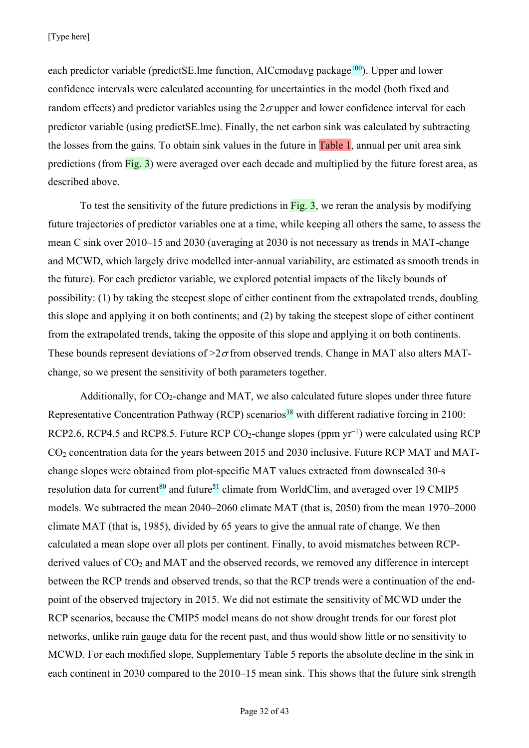each predictor variable (predictSE.lme function, AICcmodavg package<sup>100</sup>). Upper and lower confidence intervals were calculated accounting for uncertainties in the model (both fixed and random effects) and predictor variables using the  $2\sigma$  upper and lower confidence interval for each predictor variable (using predictSE.lme). Finally, the net carbon sink was calculated by subtracting the losses from the gains. To obtain sink values in the future in Table 1, annual per unit area sink predictions (from Fig. 3) were averaged over each decade and multiplied by the future forest area, as described above.

To test the sensitivity of the future predictions in  $Fig. 3$ , we reran the analysis by modifying future trajectories of predictor variables one at a time, while keeping all others the same, to assess the mean C sink over 2010–15 and 2030 (averaging at 2030 is not necessary as trends in MAT-change and MCWD, which largely drive modelled inter-annual variability, are estimated as smooth trends in the future). For each predictor variable, we explored potential impacts of the likely bounds of possibility: (1) by taking the steepest slope of either continent from the extrapolated trends, doubling this slope and applying it on both continents; and (2) by taking the steepest slope of either continent from the extrapolated trends, taking the opposite of this slope and applying it on both continents. These bounds represent deviations of  $\geq$  from observed trends. Change in MAT also alters MATchange, so we present the sensitivity of both parameters together.

Additionally, for CO<sub>2</sub>-change and MAT, we also calculated future slopes under three future Representative Concentration Pathway (RCP) scenarios<sup>38</sup> with different radiative forcing in 2100: RCP2.6, RCP4.5 and RCP8.5. Future RCP CO<sub>2</sub>-change slopes (ppm  $yr^{-1}$ ) were calculated using RCP  $CO<sub>2</sub>$  concentration data for the years between 2015 and 2030 inclusive. Future RCP MAT and MATchange slopes were obtained from plot-specific MAT values extracted from downscaled 30-s resolution data for current<sup>80</sup> and future<sup>51</sup> climate from WorldClim, and averaged over 19 CMIP5 models. We subtracted the mean 2040–2060 climate MAT (that is, 2050) from the mean 1970–2000 climate MAT (that is, 1985), divided by 65 years to give the annual rate of change. We then calculated a mean slope over all plots per continent. Finally, to avoid mismatches between RCPderived values of  $CO<sub>2</sub>$  and MAT and the observed records, we removed any difference in intercept between the RCP trends and observed trends, so that the RCP trends were a continuation of the endpoint of the observed trajectory in 2015. We did not estimate the sensitivity of MCWD under the RCP scenarios, because the CMIP5 model means do not show drought trends for our forest plot networks, unlike rain gauge data for the recent past, and thus would show little or no sensitivity to MCWD. For each modified slope, Supplementary Table 5 reports the absolute decline in the sink in each continent in 2030 compared to the 2010–15 mean sink. This shows that the future sink strength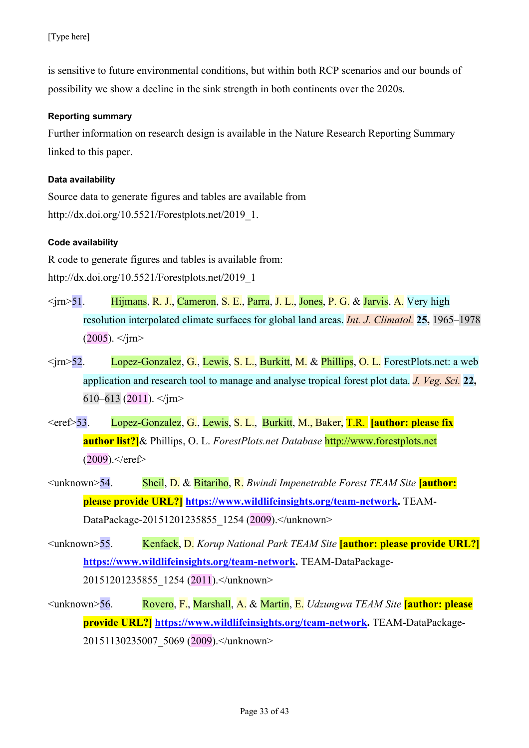is sensitive to future environmental conditions, but within both RCP scenarios and our bounds of possibility we show a decline in the sink strength in both continents over the 2020s.

# **Reporting summary**

Further information on research design is available in the Nature Research Reporting Summary linked to this paper.

### **Data availability**

Source data to generate figures and tables are available from http://dx.doi.org/10.5521/Forestplots.net/2019\_1.

# **Code availability**

R code to generate figures and tables is available from: http://dx.doi.org/10.5521/Forestplots.net/2019\_1

- <jrn>51. Hijmans, R. J., Cameron, S. E., Parra, J. L., Jones, P. G. & Jarvis, A. Very high resolution interpolated climate surfaces for global land areas. *Int. J. Climatol.* **25,** 1965–1978  $(2005)$ .  $\langle$ irn>
- <jrn>52. Lopez-Gonzalez, G., Lewis, S. L., Burkitt, M. & Phillips, O. L. ForestPlots.net: a web application and research tool to manage and analyse tropical forest plot data. *J. Veg. Sci.* **22,** 610–613 (2011).  $\langle$ jrn>
- <eref>53. Lopez-Gonzalez, G., Lewis, S. L., Burkitt, M., Baker, T.R. **[author: please fix author list?]**& Phillips, O. L. *ForestPlots.net Database* http://www.forestplots.net  $(2009)$ .  $\le$ /eref>
- <unknown>54. Sheil, D. & Bitariho, R. *Bwindi Impenetrable Forest TEAM Site* **[author: please provide URL?] https://www.wildlifeinsights.org/team-network.** TEAM-DataPackage-20151201235855\_1254 (2009).</unknown>
- <unknown>55. Kenfack, D. *Korup National Park TEAM Site* **[author: please provide URL?] https://www.wildlifeinsights.org/team-network.** TEAM-DataPackage-20151201235855\_1254 (2011).</unknown>
- <unknown>56. Rovero, F., Marshall, A. & Martin, E. *Udzungwa TEAM Site* **[author: please provide URL?] https://www.wildlifeinsights.org/team-network.** TEAM-DataPackage-20151130235007 5069 (2009).</unknown>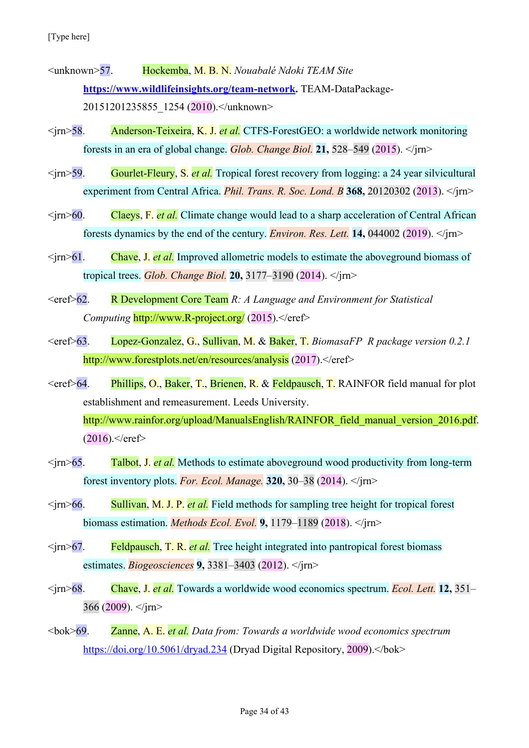- <unknown>57. Hockemba, M. B. N. *Nouabalé Ndoki TEAM Site* **https://www.wildlifeinsights.org/team-network.** TEAM-DataPackage-20151201235855\_1254 (2010).</unknown>
- <jrn>58. Anderson-Teixeira, K. J. *et al.* CTFS-ForestGEO: a worldwide network monitoring forests in an era of global change. *Glob. Change Biol.* **21,** 528–549 (2015). </jrn>
- <jrn>59. Gourlet-Fleury, S. *et al.* Tropical forest recovery from logging: a 24 year silvicultural experiment from Central Africa. *Phil. Trans. R. Soc. Lond. B* **368,** 20120302 (2013). </jrn>
- <jrn>60. Claeys, F. *et al.* Climate change would lead to a sharp acceleration of Central African forests dynamics by the end of the century. *Environ. Res. Lett.* **14,** 044002 (2019). </jrn>
- <jrn>61. Chave, J. *et al.* Improved allometric models to estimate the aboveground biomass of tropical trees. *Glob. Change Biol.* **20,** 3177–3190 (2014). </jrn>
- <eref>62. R Development Core Team *R: A Language and Environment for Statistical Computing* http://www.R-project.org/ (2015).</eref>
- <eref>63. Lopez-Gonzalez, G., Sullivan, M. & Baker, T. *BiomasaFP R package version 0.2.1* http://www.forestplots.net/en/resources/analysis (2017).</eref>
- <eref>64. Phillips, O., Baker, T., Brienen, R. & Feldpausch, T. RAINFOR field manual for plot establishment and remeasurement. Leeds University. http://www.rainfor.org/upload/ManualsEnglish/RAINFOR field manual version 2016.pdf.  $(2016)$ .  $\le$ /eref>
- <jrn>65. Talbot, J. *et al.* Methods to estimate aboveground wood productivity from long-term forest inventory plots. *For. Ecol. Manage.* **320,** 30–38 (2014). </jrn>
- <jrn>66. Sullivan, M. J. P. *et al.* Field methods for sampling tree height for tropical forest biomass estimation. *Methods Ecol. Evol.* **9,** 1179–1189 (2018). </jrn>
- <jrn>67. Feldpausch, T. R. *et al.* Tree height integrated into pantropical forest biomass estimates. *Biogeosciences* **9,** 3381–3403 (2012). </jrn>
- <jrn>68. Chave, J. *et al.* Towards a worldwide wood economics spectrum. *Ecol. Lett.* **12,** 351– 366 (2009).  $\langle$ irn>
- <bok>69. Zanne, A. E. *et al. Data from: Towards a worldwide wood economics spectrum* https://doi.org/10.5061/dryad.234 (Dryad Digital Repository, 2009).</bok>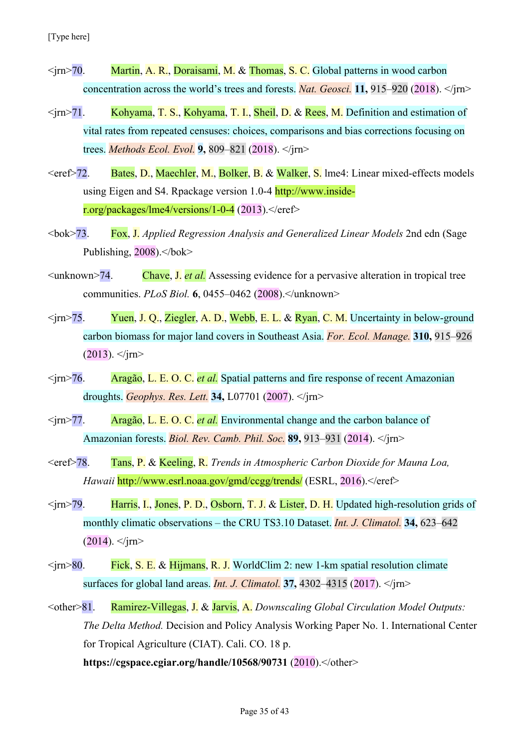- $\langle \text{im} \rangle$ 70. Martin, A. R., Doraisami, M. & Thomas, S. C. Global patterns in wood carbon concentration across the world's trees and forests. *Nat. Geosci.* **11,** 915–920 (2018). </jrn>
- $\langle \text{irn} \rangle$ 71. Kohyama, T. S., Kohyama, T. I., Sheil, D. & Rees, M. Definition and estimation of vital rates from repeated censuses: choices, comparisons and bias corrections focusing on trees. *Methods Ecol. Evol.* **9,** 809–821 (2018). </jrn>
- <eref>72. Bates, D., Maechler, M., Bolker, B. & Walker, S. lme4: Linear mixed-effects models using Eigen and S4. Rpackage version 1.0-4 http://www.insider.org/packages/lme4/versions/1-0-4 (2013).</eref>
- <bok>73. Fox, J. *Applied Regression Analysis and Generalized Linear Models* 2nd edn (Sage Publishing,  $2008$ ). $<$ /bok>
- <unknown>74. Chave, J. *et al.* Assessing evidence for a pervasive alteration in tropical tree communities. *PLoS Biol.* **6**, 0455–0462 (2008).</unknown>
- $\langle \text{tr} \rangle$  75. Yuen, J. O., Ziegler, A. D., Webb, E. L. & Ryan, C. M. Uncertainty in below-ground carbon biomass for major land covers in Southeast Asia. *For. Ecol. Manage.* **310,** 915–926  $(2013)$ .  $\langle$ irn>
- <jrn>76. Aragão, L. E. O. C. *et al.* Spatial patterns and fire response of recent Amazonian droughts. *Geophys. Res. Lett.* **34,** L07701 (2007). </jrn>
- <jrn>77. Aragão, L. E. O. C. *et al.* Environmental change and the carbon balance of Amazonian forests. *Biol. Rev. Camb. Phil. Soc.* **89,** 913–931 (2014). </jrn>
- <eref>78. Tans, P. & Keeling, R. *Trends in Atmospheric Carbon Dioxide for Mauna Loa, Hawaii* http://www.esrl.noaa.gov/gmd/ccgg/trends/ (ESRL, 2016).</eref>
- <jrn>79. Harris, I., Jones, P. D., Osborn, T. J. & Lister, D. H. Updated high-resolution grids of monthly climatic observations – the CRU TS3.10 Dataset. *Int. J. Climatol.* **34,** 623–642  $(2014)$ .  $\langle$ /jrn>
- $\langle \text{irn} \rangle$ 80. Fick, S. E. & Hijmans, R. J. WorldClim 2: new 1-km spatial resolution climate surfaces for global land areas. *Int. J. Climatol.* **37,** 4302–4315 (2017). </jrn>
- <other>81. Ramirez-Villegas, J. & Jarvis, A. *Downscaling Global Circulation Model Outputs: The Delta Method.* Decision and Policy Analysis Working Paper No. 1. International Center for Tropical Agriculture (CIAT). Cali. CO. 18 p. **https://cgspace.cgiar.org/handle/10568/90731** (2010).</other>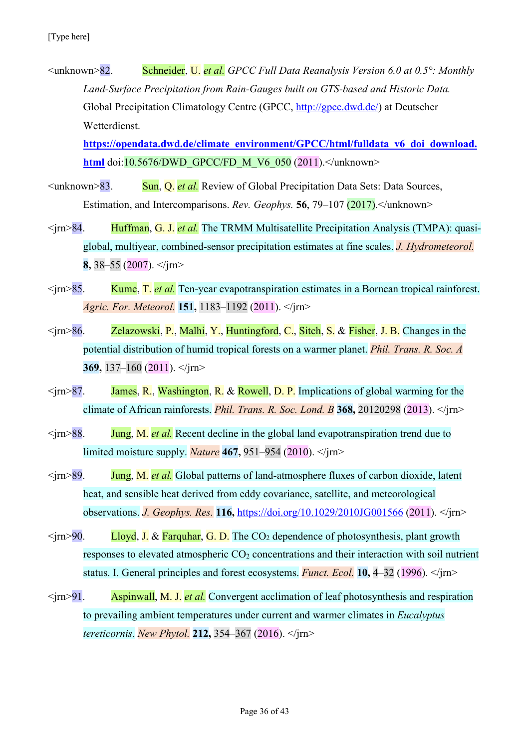<unknown>82. Schneider, U. *et al. GPCC Full Data Reanalysis Version 6.0 at 0.5°: Monthly Land-Surface Precipitation from Rain-Gauges built on GTS-based and Historic Data.* Global Precipitation Climatology Centre (GPCC, http://gpcc.dwd.de/) at Deutscher Wetterdienst.

**https://opendata.dwd.de/climate\_environment/GPCC/html/fulldata\_v6\_doi\_download. html** doi:10.5676/DWD\_GPCC/FD\_M\_V6\_050 (2011).</unknown>

- <unknown>83. Sun, Q. *et al.* Review of Global Precipitation Data Sets: Data Sources, Estimation, and Intercomparisons. *Rev. Geophys.* **56**, 79–107 (2017).</unknown>
- <jrn>84. Huffman, G. J. *et al.* The TRMM Multisatellite Precipitation Analysis (TMPA): quasiglobal, multiyear, combined-sensor precipitation estimates at fine scales. *J. Hydrometeorol.* **8,** 38–55 (2007). </jrn>
- <jrn>85. Kume, T. *et al.* Ten-year evapotranspiration estimates in a Bornean tropical rainforest. *Agric. For. Meteorol.* **151,** 1183–1192 (2011). </jrn>
- $\langle \cdot |$   $\langle \cdot |$   $\rangle$   $\langle \cdot |$   $\langle \cdot |$   $\rangle$   $\langle \cdot |$   $\rangle$   $\langle \cdot |$   $\rangle$   $\langle \cdot |$   $\rangle$   $\langle \cdot |$   $\langle \cdot |$   $\rangle$   $\langle \cdot |$   $\rangle$   $\langle \cdot |$   $\rangle$   $\langle \cdot |$   $\rangle$   $\langle \cdot |$   $\rangle$   $\langle \cdot |$   $\rangle$   $\langle \cdot |$   $\rangle$   $\langle \cdot |$   $\rangle$   $\langle \cdot |$   $\rangle$   $\langle \cdot |$   $\rangle$   $\$ potential distribution of humid tropical forests on a warmer planet. *Phil. Trans. R. Soc. A* **369,** 137–160 (2011). </jrn>
- $\langle \rangle$ irn>87. James, R., Washington, R. & Rowell, D. P. Implications of global warming for the climate of African rainforests. *Phil. Trans. R. Soc. Lond. B* **368,** 20120298 (2013). </jrn>
- <jrn>88. Jung, M. *et al.* Recent decline in the global land evapotranspiration trend due to limited moisture supply. *Nature* **467,** 951–954 (2010). </jrn>
- <jrn>89. Jung, M. *et al.* Global patterns of land-atmosphere fluxes of carbon dioxide, latent heat, and sensible heat derived from eddy covariance, satellite, and meteorological observations. *J. Geophys. Res.* **116,** https://doi.org/10.1029/2010JG001566 (2011). </jrn>
- $\langle \text{im} \rangle 90.$  Lloyd, J. & Farquhar, G. D. The CO<sub>2</sub> dependence of photosynthesis, plant growth responses to elevated atmospheric CO<sub>2</sub> concentrations and their interaction with soil nutrient status. I. General principles and forest ecosystems. *Funct. Ecol.* **10,** 4–32 (1996). </jrn>
- <jrn>91. Aspinwall, M. J. *et al.* Convergent acclimation of leaf photosynthesis and respiration to prevailing ambient temperatures under current and warmer climates in *Eucalyptus tereticornis*. *New Phytol.* **212,** 354–367 (2016). </jrn>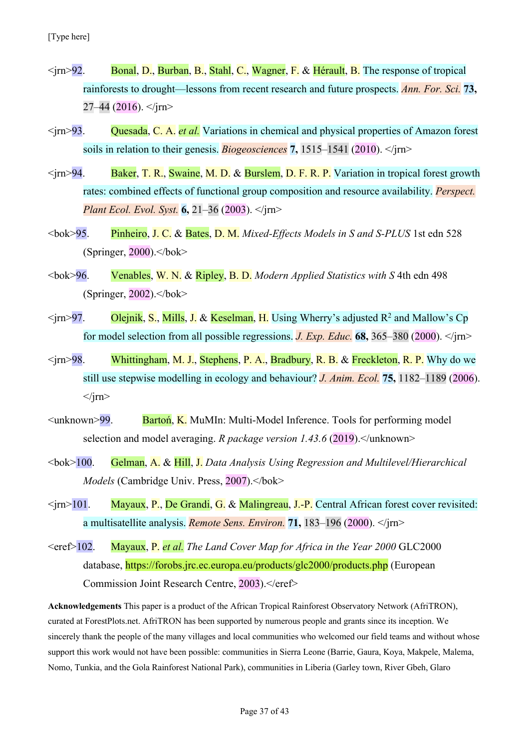- $\langle \text{im} \rangle$ 92. Bonal, D., Burban, B., Stahl, C., Wagner, F. & Hérault, B. The response of tropical rainforests to drought—lessons from recent research and future prospects. *Ann. For. Sci.* **73,**  $27-44$  (2016).  $\langle$ irn>
- <jrn>93. Quesada, C. A. *et al.* Variations in chemical and physical properties of Amazon forest soils in relation to their genesis. *Biogeosciences* **7,** 1515–1541 (2010). </jrn>
- <jrn>94. Baker, T. R., Swaine, M. D. & Burslem, D. F. R. P. Variation in tropical forest growth rates: combined effects of functional group composition and resource availability. *Perspect. Plant Ecol. Evol. Syst.* **6,** 21–36 (2003). </jrn>
- <bok>95. Pinheiro, J. C. & Bates, D. M. *Mixed-Effects Models in S and S-PLUS* 1st edn 528 (Springer,  $2000$ ). $<$ /bok>
- <bok>96. Venables, W. N. & Ripley, B. D. *Modern Applied Statistics with S* 4th edn 498 (Springer,  $2002$ ). $<$ /bok>
- $\langle \text{trn} \rangle$ 97. Olejnik, S., Mills, J. & Keselman, H. Using Wherry's adjusted R<sup>2</sup> and Mallow's Cp for model selection from all possible regressions. *J. Exp. Educ.* **68,** 365–380 (2000). </jrn>
- $\langle \text{trn} \rangle$  98. Whittingham, M. J., Stephens, P. A., Bradbury, R. B. & Freckleton, R. P. Why do we still use stepwise modelling in ecology and behaviour? *J. Anim. Ecol.* **75,** 1182–1189 (2006).  $\langle$ irn $\rangle$
- $\leq$ unknown>99. Barton, K. MuMIn: Multi-Model Inference. Tools for performing model selection and model averaging. *R package version 1.43.6* (2019). </unknown>
- <bok>100. Gelman, A. & Hill, J. *Data Analysis Using Regression and Multilevel/Hierarchical Models* (Cambridge Univ. Press, 2007).</bok>
- $\langle \text{tr} \rangle$  101. Mayaux, P., De Grandi, G. & Malingreau, J.-P. Central African forest cover revisited: a multisatellite analysis. *Remote Sens. Environ.* **71,** 183–196 (2000). </jrn>
- <eref>102. Mayaux, P. *et al. The Land Cover Map for Africa in the Year 2000* GLC2000 database, https://forobs.jrc.ec.europa.eu/products/glc2000/products.php (European Commission Joint Research Centre, 2003).</eref>

**Acknowledgements** This paper is a product of the African Tropical Rainforest Observatory Network (AfriTRON), curated at ForestPlots.net. AfriTRON has been supported by numerous people and grants since its inception. We sincerely thank the people of the many villages and local communities who welcomed our field teams and without whose support this work would not have been possible: communities in Sierra Leone (Barrie, Gaura, Koya, Makpele, Malema, Nomo, Tunkia, and the Gola Rainforest National Park), communities in Liberia (Garley town, River Gbeh, Glaro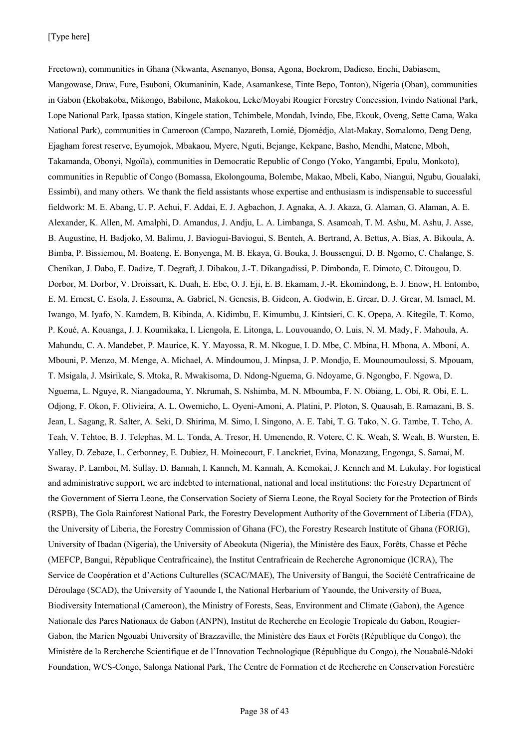Freetown), communities in Ghana (Nkwanta, Asenanyo, Bonsa, Agona, Boekrom, Dadieso, Enchi, Dabiasem, Mangowase, Draw, Fure, Esuboni, Okumaninin, Kade, Asamankese, Tinte Bepo, Tonton), Nigeria (Oban), communities in Gabon (Ekobakoba, Mikongo, Babilone, Makokou, Leke/Moyabi Rougier Forestry Concession, Ivindo National Park, Lope National Park, Ipassa station, Kingele station, Tchimbele, Mondah, Ivindo, Ebe, Ekouk, Oveng, Sette Cama, Waka National Park), communities in Cameroon (Campo, Nazareth, Lomié, Djomédjo, Alat-Makay, Somalomo, Deng Deng, Ejagham forest reserve, Eyumojok, Mbakaou, Myere, Nguti, Bejange, Kekpane, Basho, Mendhi, Matene, Mboh, Takamanda, Obonyi, Ngoïla), communities in Democratic Republic of Congo (Yoko, Yangambi, Epulu, Monkoto), communities in Republic of Congo (Bomassa, Ekolongouma, Bolembe, Makao, Mbeli, Kabo, Niangui, Ngubu, Goualaki, Essimbi), and many others. We thank the field assistants whose expertise and enthusiasm is indispensable to successful fieldwork: M. E. Abang, U. P. Achui, F. Addai, E. J. Agbachon, J. Agnaka, A. J. Akaza, G. Alaman, G. Alaman, A. E. Alexander, K. Allen, M. Amalphi, D. Amandus, J. Andju, L. A. Limbanga, S. Asamoah, T. M. Ashu, M. Ashu, J. Asse, B. Augustine, H. Badjoko, M. Balimu, J. Baviogui-Baviogui, S. Benteh, A. Bertrand, A. Bettus, A. Bias, A. Bikoula, A. Bimba, P. Bissiemou, M. Boateng, E. Bonyenga, M. B. Ekaya, G. Bouka, J. Boussengui, D. B. Ngomo, C. Chalange, S. Chenikan, J. Dabo, E. Dadize, T. Degraft, J. Dibakou, J.-T. Dikangadissi, P. Dimbonda, E. Dimoto, C. Ditougou, D. Dorbor, M. Dorbor, V. Droissart, K. Duah, E. Ebe, O. J. Eji, E. B. Ekamam, J.-R. Ekomindong, E. J. Enow, H. Entombo, E. M. Ernest, C. Esola, J. Essouma, A. Gabriel, N. Genesis, B. Gideon, A. Godwin, E. Grear, D. J. Grear, M. Ismael, M. Iwango, M. Iyafo, N. Kamdem, B. Kibinda, A. Kidimbu, E. Kimumbu, J. Kintsieri, C. K. Opepa, A. Kitegile, T. Komo, P. Koué, A. Kouanga, J. J. Koumikaka, I. Liengola, E. Litonga, L. Louvouando, O. Luis, N. M. Mady, F. Mahoula, A. Mahundu, C. A. Mandebet, P. Maurice, K. Y. Mayossa, R. M. Nkogue, I. D. Mbe, C. Mbina, H. Mbona, A. Mboni, A. Mbouni, P. Menzo, M. Menge, A. Michael, A. Mindoumou, J. Minpsa, J. P. Mondjo, E. Mounoumoulossi, S. Mpouam, T. Msigala, J. Msirikale, S. Mtoka, R. Mwakisoma, D. Ndong-Nguema, G. Ndoyame, G. Ngongbo, F. Ngowa, D. Nguema, L. Nguye, R. Niangadouma, Y. Nkrumah, S. Nshimba, M. N. Mboumba, F. N. Obiang, L. Obi, R. Obi, E. L. Odjong, F. Okon, F. Olivieira, A. L. Owemicho, L. Oyeni-Amoni, A. Platini, P. Ploton, S. Quausah, E. Ramazani, B. S. Jean, L. Sagang, R. Salter, A. Seki, D. Shirima, M. Simo, I. Singono, A. E. Tabi, T. G. Tako, N. G. Tambe, T. Tcho, A. Teah, V. Tehtoe, B. J. Telephas, M. L. Tonda, A. Tresor, H. Umenendo, R. Votere, C. K. Weah, S. Weah, B. Wursten, E. Yalley, D. Zebaze, L. Cerbonney, E. Dubiez, H. Moinecourt, F. Lanckriet, Evina, Monazang, Engonga, S. Samai, M. Swaray, P. Lamboi, M. Sullay, D. Bannah, I. Kanneh, M. Kannah, A. Kemokai, J. Kenneh and M. Lukulay. For logistical and administrative support, we are indebted to international, national and local institutions: the Forestry Department of the Government of Sierra Leone, the Conservation Society of Sierra Leone, the Royal Society for the Protection of Birds (RSPB), The Gola Rainforest National Park, the Forestry Development Authority of the Government of Liberia (FDA), the University of Liberia, the Forestry Commission of Ghana (FC), the Forestry Research Institute of Ghana (FORIG), University of Ibadan (Nigeria), the University of Abeokuta (Nigeria), the Ministère des Eaux, Forêts, Chasse et Pêche (MEFCP, Bangui, République Centrafricaine), the Institut Centrafricain de Recherche Agronomique (ICRA), The Service de Coopération et d'Actions Culturelles (SCAC/MAE), The University of Bangui, the Société Centrafricaine de Déroulage (SCAD), the University of Yaounde I, the National Herbarium of Yaounde, the University of Buea, Biodiversity International (Cameroon), the Ministry of Forests, Seas, Environment and Climate (Gabon), the Agence Nationale des Parcs Nationaux de Gabon (ANPN), Institut de Recherche en Ecologie Tropicale du Gabon, Rougier-Gabon, the Marien Ngouabi University of Brazzaville, the Ministère des Eaux et Forêts (République du Congo), the Ministère de la Rercherche Scientifique et de l'Innovation Technologique (République du Congo), the Nouabalé-Ndoki Foundation, WCS-Congo, Salonga National Park, The Centre de Formation et de Recherche en Conservation Forestière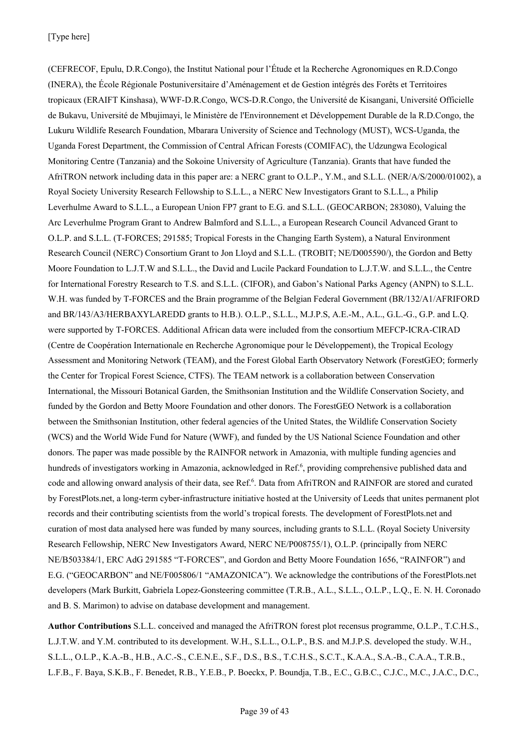(CEFRECOF, Epulu, D.R.Congo), the Institut National pour l'Étude et la Recherche Agronomiques en R.D.Congo (INERA), the École Régionale Postuniversitaire d'Aménagement et de Gestion intégrés des Forêts et Territoires tropicaux (ERAIFT Kinshasa), WWF-D.R.Congo, WCS-D.R.Congo, the Université de Kisangani, Université Officielle de Bukavu, Université de Mbujimayi, le Ministère de l'Environnement et Développement Durable de la R.D.Congo, the Lukuru Wildlife Research Foundation, Mbarara University of Science and Technology (MUST), WCS-Uganda, the Uganda Forest Department, the Commission of Central African Forests (COMIFAC), the Udzungwa Ecological Monitoring Centre (Tanzania) and the Sokoine University of Agriculture (Tanzania). Grants that have funded the AfriTRON network including data in this paper are: a NERC grant to O.L.P., Y.M., and S.L.L. (NER/A/S/2000/01002), a Royal Society University Research Fellowship to S.L.L., a NERC New Investigators Grant to S.L.L., a Philip Leverhulme Award to S.L.L., a European Union FP7 grant to E.G. and S.L.L. (GEOCARBON; 283080), Valuing the Arc Leverhulme Program Grant to Andrew Balmford and S.L.L., a European Research Council Advanced Grant to O.L.P. and S.L.L. (T-FORCES; 291585; Tropical Forests in the Changing Earth System), a Natural Environment Research Council (NERC) Consortium Grant to Jon Lloyd and S.L.L. (TROBIT; NE/D005590/), the Gordon and Betty Moore Foundation to L.J.T.W and S.L.L., the David and Lucile Packard Foundation to L.J.T.W. and S.L.L., the Centre for International Forestry Research to T.S. and S.L.L. (CIFOR), and Gabon's National Parks Agency (ANPN) to S.L.L. W.H. was funded by T-FORCES and the Brain programme of the Belgian Federal Government (BR/132/A1/AFRIFORD and BR/143/A3/HERBAXYLAREDD grants to H.B.). O.L.P., S.L.L., M.J.P.S, A.E.-M., A.L., G.L.-G., G.P. and L.Q. were supported by T-FORCES. Additional African data were included from the consortium MEFCP-ICRA-CIRAD (Centre de Coopération Internationale en Recherche Agronomique pour le Développement), the Tropical Ecology Assessment and Monitoring Network (TEAM), and the Forest Global Earth Observatory Network (ForestGEO; formerly the Center for Tropical Forest Science, CTFS). The TEAM network is a collaboration between Conservation International, the Missouri Botanical Garden, the Smithsonian Institution and the Wildlife Conservation Society, and funded by the Gordon and Betty Moore Foundation and other donors. The ForestGEO Network is a collaboration between the Smithsonian Institution, other federal agencies of the United States, the Wildlife Conservation Society (WCS) and the World Wide Fund for Nature (WWF), and funded by the US National Science Foundation and other donors. The paper was made possible by the RAINFOR network in Amazonia, with multiple funding agencies and hundreds of investigators working in Amazonia, acknowledged in Ref.<sup>6</sup>, providing comprehensive published data and code and allowing onward analysis of their data, see Ref.<sup>6</sup>. Data from AfriTRON and RAINFOR are stored and curated by ForestPlots.net, a long-term cyber-infrastructure initiative hosted at the University of Leeds that unites permanent plot records and their contributing scientists from the world's tropical forests. The development of ForestPlots.net and curation of most data analysed here was funded by many sources, including grants to S.L.L. (Royal Society University Research Fellowship, NERC New Investigators Award, NERC NE/P008755/1), O.L.P. (principally from NERC NE/B503384/1, ERC AdG 291585 "T-FORCES", and Gordon and Betty Moore Foundation 1656, "RAINFOR") and E.G. ("GEOCARBON" and NE/F005806/1 "AMAZONICA"). We acknowledge the contributions of the ForestPlots.net developers (Mark Burkitt, Gabriela Lopez-Gonsteering committee (T.R.B., A.L., S.L.L., O.L.P., L.Q., E. N. H. Coronado and B. S. Marimon) to advise on database development and management.

**Author Contributions** S.L.L. conceived and managed the AfriTRON forest plot recensus programme, O.L.P., T.C.H.S., L.J.T.W. and Y.M. contributed to its development. W.H., S.L.L., O.L.P., B.S. and M.J.P.S. developed the study. W.H., S.L.L., O.L.P., K.A.-B., H.B., A.C.-S., C.E.N.E., S.F., D.S., B.S., T.C.H.S., S.C.T., K.A.A., S.A.-B., C.A.A., T.R.B., L.F.B., F. Baya, S.K.B., F. Benedet, R.B., Y.E.B., P. Boeckx, P. Boundja, T.B., E.C., G.B.C., C.J.C., M.C., J.A.C., D.C.,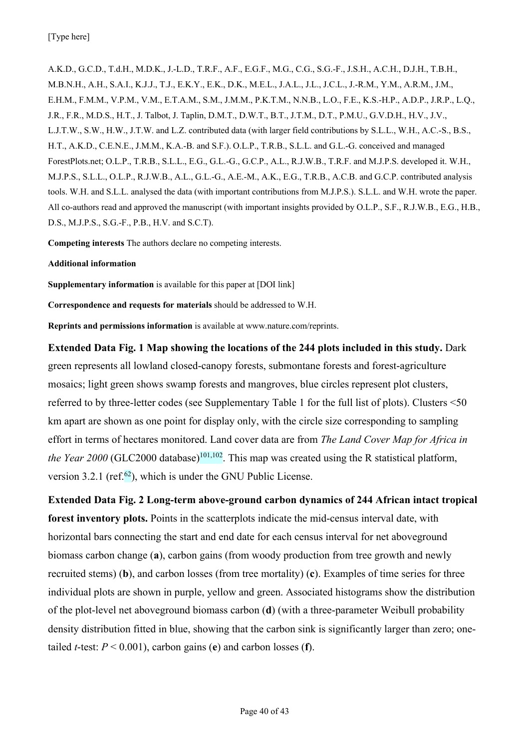[Type here]

A.K.D., G.C.D., T.d.H., M.D.K., J.-L.D., T.R.F., A.F., E.G.F., M.G., C.G., S.G.-F., J.S.H., A.C.H., D.J.H., T.B.H., M.B.N.H., A.H., S.A.I., K.J.J., T.J., E.K.Y., E.K., D.K., M.E.L., J.A.L., J.L., J.C.L., J.-R.M., Y.M., A.R.M., J.M., E.H.M., F.M.M., V.P.M., V.M., E.T.A.M., S.M., J.M.M., P.K.T.M., N.N.B., L.O., F.E., K.S.-H.P., A.D.P., J.R.P., L.Q., J.R., F.R., M.D.S., H.T., J. Talbot, J. Taplin, D.M.T., D.W.T., B.T., J.T.M., D.T., P.M.U., G.V.D.H., H.V., J.V., L.J.T.W., S.W., H.W., J.T.W. and L.Z. contributed data (with larger field contributions by S.L.L., W.H., A.C.-S., B.S., H.T., A.K.D., C.E.N.E., J.M.M., K.A.-B. and S.F.). O.L.P., T.R.B., S.L.L. and G.L.-G. conceived and managed ForestPlots.net; O.L.P., T.R.B., S.L.L., E.G., G.L.-G., G.C.P., A.L., R.J.W.B., T.R.F. and M.J.P.S. developed it. W.H., M.J.P.S., S.L.L., O.L.P., R.J.W.B., A.L., G.L.-G., A.E.-M., A.K., E.G., T.R.B., A.C.B. and G.C.P. contributed analysis tools. W.H. and S.L.L. analysed the data (with important contributions from M.J.P.S.). S.L.L. and W.H. wrote the paper. All co-authors read and approved the manuscript (with important insights provided by O.L.P., S.F., R.J.W.B., E.G., H.B., D.S., M.J.P.S., S.G.-F., P.B., H.V. and S.C.T).

**Competing interests** The authors declare no competing interests.

**Additional information**

**Supplementary information** is available for this paper at [DOI link]

**Correspondence and requests for materials** should be addressed to W.H.

**Reprints and permissions information** is available at www.nature.com/reprints.

**Extended Data Fig. 1 Map showing the locations of the 244 plots included in this study.** Dark green represents all lowland closed-canopy forests, submontane forests and forest-agriculture mosaics; light green shows swamp forests and mangroves, blue circles represent plot clusters, referred to by three-letter codes (see Supplementary Table 1 for the full list of plots). Clusters <50 km apart are shown as one point for display only, with the circle size corresponding to sampling effort in terms of hectares monitored. Land cover data are from *The Land Cover Map for Africa in the Year 2000* (GLC2000 database)<sup>101,102</sup>. This map was created using the R statistical platform, version 3.2.1 (ref. $62$ ), which is under the GNU Public License.

**Extended Data Fig. 2 Long-term above-ground carbon dynamics of 244 African intact tropical forest inventory plots.** Points in the scatterplots indicate the mid-census interval date, with horizontal bars connecting the start and end date for each census interval for net aboveground biomass carbon change (**a**), carbon gains (from woody production from tree growth and newly recruited stems) (**b**), and carbon losses (from tree mortality) (**c**). Examples of time series for three individual plots are shown in purple, yellow and green. Associated histograms show the distribution of the plot-level net aboveground biomass carbon (**d**) (with a three-parameter Weibull probability density distribution fitted in blue, showing that the carbon sink is significantly larger than zero; onetailed *t*-test:  $P < 0.001$ ), carbon gains (**e**) and carbon losses (**f**).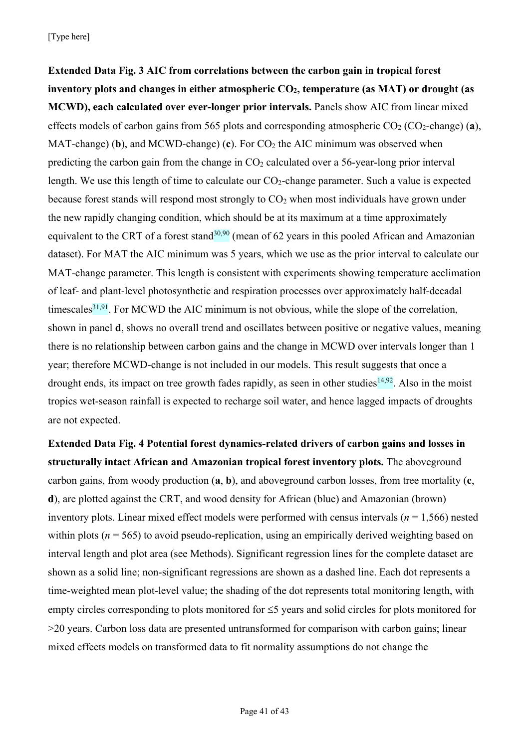**Extended Data Fig. 3 AIC from correlations between the carbon gain in tropical forest inventory plots and changes in either atmospheric CO2, temperature (as MAT) or drought (as MCWD), each calculated over ever-longer prior intervals.** Panels show AIC from linear mixed effects models of carbon gains from 565 plots and corresponding atmospheric  $CO_2$  ( $CO_2$ -change) (**a**), MAT-change) (b), and MCWD-change) (c). For  $CO<sub>2</sub>$  the AIC minimum was observed when predicting the carbon gain from the change in  $CO<sub>2</sub>$  calculated over a 56-year-long prior interval length. We use this length of time to calculate our  $CO_2$ -change parameter. Such a value is expected because forest stands will respond most strongly to  $CO<sub>2</sub>$  when most individuals have grown under the new rapidly changing condition, which should be at its maximum at a time approximately equivalent to the CRT of a forest stand<sup>30,90</sup> (mean of 62 years in this pooled African and Amazonian dataset). For MAT the AIC minimum was 5 years, which we use as the prior interval to calculate our MAT-change parameter. This length is consistent with experiments showing temperature acclimation of leaf- and plant-level photosynthetic and respiration processes over approximately half-decadal timescales<sup>31,91</sup>. For MCWD the AIC minimum is not obvious, while the slope of the correlation, shown in panel **d**, shows no overall trend and oscillates between positive or negative values, meaning there is no relationship between carbon gains and the change in MCWD over intervals longer than 1 year; therefore MCWD-change is not included in our models. This result suggests that once a drought ends, its impact on tree growth fades rapidly, as seen in other studies<sup>14,92</sup>. Also in the moist tropics wet-season rainfall is expected to recharge soil water, and hence lagged impacts of droughts are not expected.

**Extended Data Fig. 4 Potential forest dynamics-related drivers of carbon gains and losses in structurally intact African and Amazonian tropical forest inventory plots.** The aboveground carbon gains, from woody production (**a**, **b**), and aboveground carbon losses, from tree mortality (**c**, **d**), are plotted against the CRT, and wood density for African (blue) and Amazonian (brown) inventory plots. Linear mixed effect models were performed with census intervals (*n* = 1,566) nested within plots ( $n = 565$ ) to avoid pseudo-replication, using an empirically derived weighting based on interval length and plot area (see Methods). Significant regression lines for the complete dataset are shown as a solid line; non-significant regressions are shown as a dashed line. Each dot represents a time-weighted mean plot-level value; the shading of the dot represents total monitoring length, with empty circles corresponding to plots monitored for  $\leq$ 5 years and solid circles for plots monitored for >20 years. Carbon loss data are presented untransformed for comparison with carbon gains; linear mixed effects models on transformed data to fit normality assumptions do not change the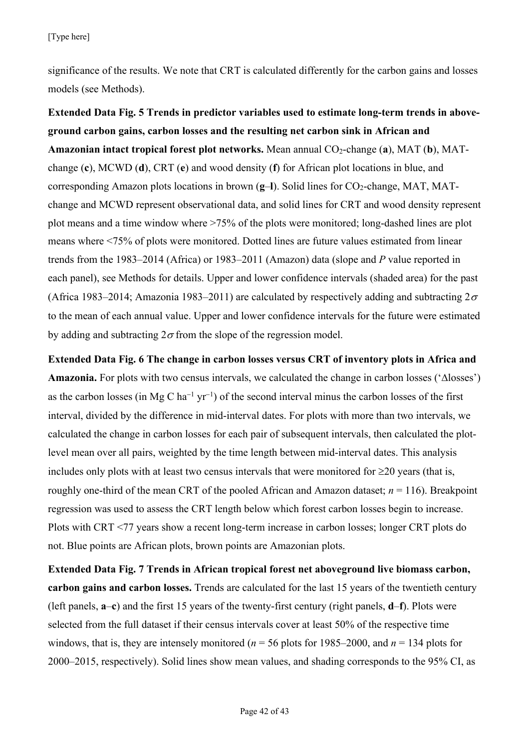significance of the results. We note that CRT is calculated differently for the carbon gains and losses models (see Methods).

**Extended Data Fig. 5 Trends in predictor variables used to estimate long-term trends in aboveground carbon gains, carbon losses and the resulting net carbon sink in African and Amazonian intact tropical forest plot networks.** Mean annual CO2-change (**a**), MAT (**b**), MATchange (**c**), MCWD (**d**), CRT (**e**) and wood density (**f**) for African plot locations in blue, and corresponding Amazon plots locations in brown (**g**–**l**). Solid lines for CO<sub>2</sub>-change, MAT, MATchange and MCWD represent observational data, and solid lines for CRT and wood density represent plot means and a time window where >75% of the plots were monitored; long-dashed lines are plot means where <75% of plots were monitored. Dotted lines are future values estimated from linear trends from the 1983–2014 (Africa) or 1983–2011 (Amazon) data (slope and *P* value reported in each panel), see Methods for details. Upper and lower confidence intervals (shaded area) for the past (Africa 1983–2014; Amazonia 1983–2011) are calculated by respectively adding and subtracting  $2\sigma$ to the mean of each annual value. Upper and lower confidence intervals for the future were estimated by adding and subtracting  $2\sigma$  from the slope of the regression model.

**Extended Data Fig. 6 The change in carbon losses versus CRT of inventory plots in Africa and Amazonia.** For plots with two census intervals, we calculated the change in carbon losses ('∆losses') as the carbon losses (in Mg C ha<sup>-1</sup> yr<sup>-1</sup>) of the second interval minus the carbon losses of the first interval, divided by the difference in mid-interval dates. For plots with more than two intervals, we calculated the change in carbon losses for each pair of subsequent intervals, then calculated the plotlevel mean over all pairs, weighted by the time length between mid-interval dates. This analysis includes only plots with at least two census intervals that were monitored for  $\geq 20$  years (that is, roughly one-third of the mean CRT of the pooled African and Amazon dataset;  $n = 116$ ). Breakpoint regression was used to assess the CRT length below which forest carbon losses begin to increase. Plots with CRT <77 years show a recent long-term increase in carbon losses; longer CRT plots do not. Blue points are African plots, brown points are Amazonian plots.

**Extended Data Fig. 7 Trends in African tropical forest net aboveground live biomass carbon, carbon gains and carbon losses.** Trends are calculated for the last 15 years of the twentieth century (left panels, **a**–**c**) and the first 15 years of the twenty-first century (right panels, **d**–**f**). Plots were selected from the full dataset if their census intervals cover at least 50% of the respective time windows, that is, they are intensely monitored ( $n = 56$  plots for 1985–2000, and  $n = 134$  plots for 2000–2015, respectively). Solid lines show mean values, and shading corresponds to the 95% CI, as